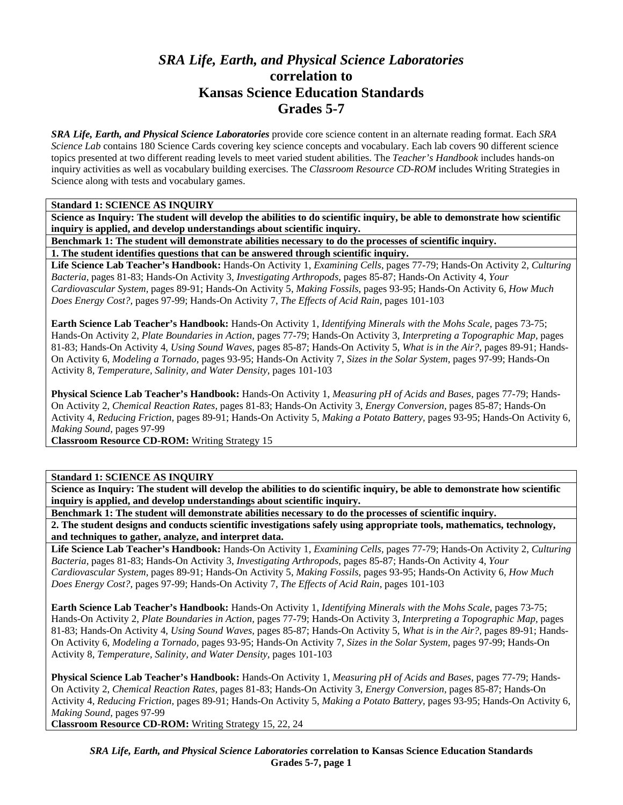# *SRA Life, Earth, and Physical Science Laboratories*  **correlation to Kansas Science Education Standards Grades 5-7**

*SRA Life, Earth, and Physical Science Laboratories* provide core science content in an alternate reading format. Each *SRA Science Lab* contains 180 Science Cards covering key science concepts and vocabulary. Each lab covers 90 different science topics presented at two different reading levels to meet varied student abilities. The *Teacher's Handbook* includes hands-on inquiry activities as well as vocabulary building exercises. The *Classroom Resource CD-ROM* includes Writing Strategies in Science along with tests and vocabulary games.

# **Standard 1: SCIENCE AS INQUIRY**

**Science as Inquiry: The student will develop the abilities to do scientific inquiry, be able to demonstrate how scientific inquiry is applied, and develop understandings about scientific inquiry.** 

**Benchmark 1: The student will demonstrate abilities necessary to do the processes of scientific inquiry.** 

**1. The student identifies questions that can be answered through scientific inquiry.** 

**Life Science Lab Teacher's Handbook:** Hands-On Activity 1, *Examining Cells,* pages 77-79; Hands-On Activity 2, *Culturing Bacteria,* pages 81-83; Hands-On Activity 3, *Investigating Arthropods,* pages 85-87; Hands-On Activity 4, *Your Cardiovascular System,* pages 89-91; Hands-On Activity 5, *Making Fossils,* pages 93-95; Hands-On Activity 6, *How Much Does Energy Cost?,* pages 97-99; Hands-On Activity 7, *The Effects of Acid Rain,* pages 101-103

**Earth Science Lab Teacher's Handbook:** Hands-On Activity 1, *Identifying Minerals with the Mohs Scale,* pages 73-75; Hands-On Activity 2, *Plate Boundaries in Action,* pages 77-79; Hands-On Activity 3, *Interpreting a Topographic Map,* pages 81-83; Hands-On Activity 4, *Using Sound Waves,* pages 85-87; Hands-On Activity 5, *What is in the Air?,* pages 89-91; Hands-On Activity 6, *Modeling a Tornado,* pages 93-95; Hands-On Activity 7, *Sizes in the Solar System,* pages 97-99; Hands-On Activity 8, *Temperature, Salinity, and Water Density,* pages 101-103

**Physical Science Lab Teacher's Handbook:** Hands-On Activity 1, *Measuring pH of Acids and Bases,* pages 77-79; Hands-On Activity 2, *Chemical Reaction Rates,* pages 81-83; Hands-On Activity 3, *Energy Conversion,* pages 85-87; Hands-On Activity 4, *Reducing Friction,* pages 89-91; Hands-On Activity 5, *Making a Potato Battery,* pages 93-95; Hands-On Activity 6, *Making Sound,* pages 97-99

**Classroom Resource CD-ROM:** Writing Strategy 15

# **Standard 1: SCIENCE AS INQUIRY**

**Science as Inquiry: The student will develop the abilities to do scientific inquiry, be able to demonstrate how scientific inquiry is applied, and develop understandings about scientific inquiry.** 

**Benchmark 1: The student will demonstrate abilities necessary to do the processes of scientific inquiry.** 

**2. The student designs and conducts scientific investigations safely using appropriate tools, mathematics, technology, and techniques to gather, analyze, and interpret data.** 

**Life Science Lab Teacher's Handbook:** Hands-On Activity 1, *Examining Cells,* pages 77-79; Hands-On Activity 2, *Culturing Bacteria,* pages 81-83; Hands-On Activity 3, *Investigating Arthropods,* pages 85-87; Hands-On Activity 4, *Your Cardiovascular System,* pages 89-91; Hands-On Activity 5, *Making Fossils,* pages 93-95; Hands-On Activity 6, *How Much Does Energy Cost?,* pages 97-99; Hands-On Activity 7, *The Effects of Acid Rain,* pages 101-103

**Earth Science Lab Teacher's Handbook:** Hands-On Activity 1, *Identifying Minerals with the Mohs Scale,* pages 73-75; Hands-On Activity 2, *Plate Boundaries in Action,* pages 77-79; Hands-On Activity 3, *Interpreting a Topographic Map,* pages 81-83; Hands-On Activity 4, *Using Sound Waves,* pages 85-87; Hands-On Activity 5, *What is in the Air?,* pages 89-91; Hands-On Activity 6, *Modeling a Tornado,* pages 93-95; Hands-On Activity 7, *Sizes in the Solar System,* pages 97-99; Hands-On Activity 8, *Temperature, Salinity, and Water Density,* pages 101-103

**Physical Science Lab Teacher's Handbook:** Hands-On Activity 1, *Measuring pH of Acids and Bases,* pages 77-79; Hands-On Activity 2, *Chemical Reaction Rates,* pages 81-83; Hands-On Activity 3, *Energy Conversion,* pages 85-87; Hands-On Activity 4, *Reducing Friction,* pages 89-91; Hands-On Activity 5, *Making a Potato Battery,* pages 93-95; Hands-On Activity 6, *Making Sound,* pages 97-99

**Classroom Resource CD-ROM:** Writing Strategy 15, 22, 24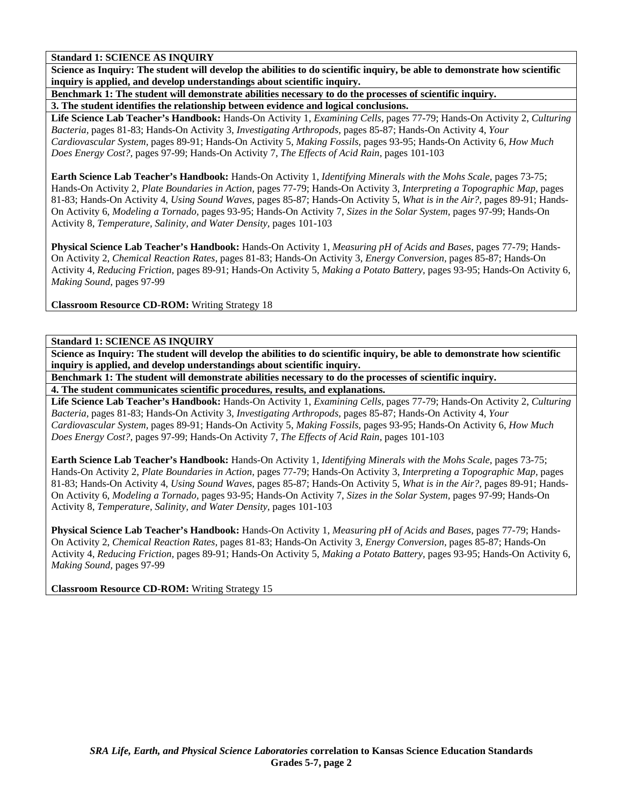**Standard 1: SCIENCE AS INQUIRY** 

**Science as Inquiry: The student will develop the abilities to do scientific inquiry, be able to demonstrate how scientific inquiry is applied, and develop understandings about scientific inquiry.** 

**Benchmark 1: The student will demonstrate abilities necessary to do the processes of scientific inquiry. 3. The student identifies the relationship between evidence and logical conclusions.** 

**Life Science Lab Teacher's Handbook:** Hands-On Activity 1, *Examining Cells,* pages 77-79; Hands-On Activity 2, *Culturing Bacteria,* pages 81-83; Hands-On Activity 3, *Investigating Arthropods,* pages 85-87; Hands-On Activity 4, *Your Cardiovascular System,* pages 89-91; Hands-On Activity 5, *Making Fossils,* pages 93-95; Hands-On Activity 6, *How Much Does Energy Cost?,* pages 97-99; Hands-On Activity 7, *The Effects of Acid Rain,* pages 101-103

**Earth Science Lab Teacher's Handbook:** Hands-On Activity 1, *Identifying Minerals with the Mohs Scale,* pages 73-75; Hands-On Activity 2, *Plate Boundaries in Action,* pages 77-79; Hands-On Activity 3, *Interpreting a Topographic Map,* pages 81-83; Hands-On Activity 4, *Using Sound Waves,* pages 85-87; Hands-On Activity 5, *What is in the Air?,* pages 89-91; Hands-On Activity 6, *Modeling a Tornado,* pages 93-95; Hands-On Activity 7, *Sizes in the Solar System,* pages 97-99; Hands-On Activity 8, *Temperature, Salinity, and Water Density,* pages 101-103

**Physical Science Lab Teacher's Handbook:** Hands-On Activity 1, *Measuring pH of Acids and Bases,* pages 77-79; Hands-On Activity 2, *Chemical Reaction Rates,* pages 81-83; Hands-On Activity 3, *Energy Conversion,* pages 85-87; Hands-On Activity 4, *Reducing Friction,* pages 89-91; Hands-On Activity 5, *Making a Potato Battery,* pages 93-95; Hands-On Activity 6, *Making Sound,* pages 97-99

**Classroom Resource CD-ROM:** Writing Strategy 18

# **Standard 1: SCIENCE AS INQUIRY**

**Science as Inquiry: The student will develop the abilities to do scientific inquiry, be able to demonstrate how scientific inquiry is applied, and develop understandings about scientific inquiry.** 

**Benchmark 1: The student will demonstrate abilities necessary to do the processes of scientific inquiry. 4. The student communicates scientific procedures, results, and explanations.** 

**Life Science Lab Teacher's Handbook:** Hands-On Activity 1, *Examining Cells,* pages 77-79; Hands-On Activity 2, *Culturing Bacteria,* pages 81-83; Hands-On Activity 3, *Investigating Arthropods,* pages 85-87; Hands-On Activity 4, *Your Cardiovascular System,* pages 89-91; Hands-On Activity 5, *Making Fossils,* pages 93-95; Hands-On Activity 6, *How Much Does Energy Cost?,* pages 97-99; Hands-On Activity 7, *The Effects of Acid Rain,* pages 101-103

**Earth Science Lab Teacher's Handbook:** Hands-On Activity 1, *Identifying Minerals with the Mohs Scale,* pages 73-75; Hands-On Activity 2, *Plate Boundaries in Action,* pages 77-79; Hands-On Activity 3, *Interpreting a Topographic Map,* pages 81-83; Hands-On Activity 4, *Using Sound Waves,* pages 85-87; Hands-On Activity 5, *What is in the Air?,* pages 89-91; Hands-On Activity 6, *Modeling a Tornado,* pages 93-95; Hands-On Activity 7, *Sizes in the Solar System,* pages 97-99; Hands-On Activity 8, *Temperature, Salinity, and Water Density,* pages 101-103

**Physical Science Lab Teacher's Handbook:** Hands-On Activity 1, *Measuring pH of Acids and Bases,* pages 77-79; Hands-On Activity 2, *Chemical Reaction Rates,* pages 81-83; Hands-On Activity 3, *Energy Conversion,* pages 85-87; Hands-On Activity 4, *Reducing Friction,* pages 89-91; Hands-On Activity 5, *Making a Potato Battery,* pages 93-95; Hands-On Activity 6, *Making Sound,* pages 97-99

**Classroom Resource CD-ROM:** Writing Strategy 15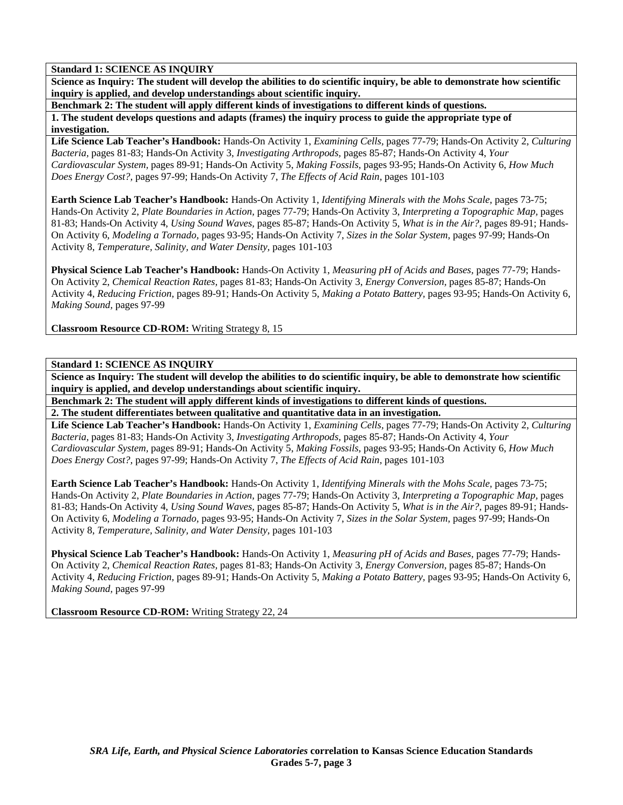# **Standard 1: SCIENCE AS INQUIRY**

**Science as Inquiry: The student will develop the abilities to do scientific inquiry, be able to demonstrate how scientific inquiry is applied, and develop understandings about scientific inquiry.** 

**Benchmark 2: The student will apply different kinds of investigations to different kinds of questions.** 

**1. The student develops questions and adapts (frames) the inquiry process to guide the appropriate type of investigation.** 

**Life Science Lab Teacher's Handbook:** Hands-On Activity 1, *Examining Cells,* pages 77-79; Hands-On Activity 2, *Culturing Bacteria,* pages 81-83; Hands-On Activity 3, *Investigating Arthropods,* pages 85-87; Hands-On Activity 4, *Your Cardiovascular System,* pages 89-91; Hands-On Activity 5, *Making Fossils,* pages 93-95; Hands-On Activity 6, *How Much Does Energy Cost?,* pages 97-99; Hands-On Activity 7, *The Effects of Acid Rain,* pages 101-103

**Earth Science Lab Teacher's Handbook:** Hands-On Activity 1, *Identifying Minerals with the Mohs Scale,* pages 73-75; Hands-On Activity 2, *Plate Boundaries in Action,* pages 77-79; Hands-On Activity 3, *Interpreting a Topographic Map,* pages 81-83; Hands-On Activity 4, *Using Sound Waves,* pages 85-87; Hands-On Activity 5, *What is in the Air?,* pages 89-91; Hands-On Activity 6, *Modeling a Tornado,* pages 93-95; Hands-On Activity 7, *Sizes in the Solar System,* pages 97-99; Hands-On Activity 8, *Temperature, Salinity, and Water Density,* pages 101-103

**Physical Science Lab Teacher's Handbook:** Hands-On Activity 1, *Measuring pH of Acids and Bases,* pages 77-79; Hands-On Activity 2, *Chemical Reaction Rates,* pages 81-83; Hands-On Activity 3, *Energy Conversion,* pages 85-87; Hands-On Activity 4, *Reducing Friction,* pages 89-91; Hands-On Activity 5, *Making a Potato Battery,* pages 93-95; Hands-On Activity 6, *Making Sound,* pages 97-99

**Classroom Resource CD-ROM:** Writing Strategy 8, 15

# **Standard 1: SCIENCE AS INQUIRY**

**Science as Inquiry: The student will develop the abilities to do scientific inquiry, be able to demonstrate how scientific inquiry is applied, and develop understandings about scientific inquiry.** 

**Benchmark 2: The student will apply different kinds of investigations to different kinds of questions. 2. The student differentiates between qualitative and quantitative data in an investigation.** 

**Life Science Lab Teacher's Handbook:** Hands-On Activity 1, *Examining Cells,* pages 77-79; Hands-On Activity 2, *Culturing Bacteria,* pages 81-83; Hands-On Activity 3, *Investigating Arthropods,* pages 85-87; Hands-On Activity 4, *Your Cardiovascular System,* pages 89-91; Hands-On Activity 5, *Making Fossils,* pages 93-95; Hands-On Activity 6, *How Much Does Energy Cost?,* pages 97-99; Hands-On Activity 7, *The Effects of Acid Rain,* pages 101-103

**Earth Science Lab Teacher's Handbook:** Hands-On Activity 1, *Identifying Minerals with the Mohs Scale,* pages 73-75; Hands-On Activity 2, *Plate Boundaries in Action,* pages 77-79; Hands-On Activity 3, *Interpreting a Topographic Map,* pages 81-83; Hands-On Activity 4, *Using Sound Waves,* pages 85-87; Hands-On Activity 5, *What is in the Air?,* pages 89-91; Hands-On Activity 6, *Modeling a Tornado,* pages 93-95; Hands-On Activity 7, *Sizes in the Solar System,* pages 97-99; Hands-On Activity 8, *Temperature, Salinity, and Water Density,* pages 101-103

**Physical Science Lab Teacher's Handbook:** Hands-On Activity 1, *Measuring pH of Acids and Bases,* pages 77-79; Hands-On Activity 2, *Chemical Reaction Rates,* pages 81-83; Hands-On Activity 3, *Energy Conversion,* pages 85-87; Hands-On Activity 4, *Reducing Friction,* pages 89-91; Hands-On Activity 5, *Making a Potato Battery,* pages 93-95; Hands-On Activity 6, *Making Sound,* pages 97-99

**Classroom Resource CD-ROM:** Writing Strategy 22, 24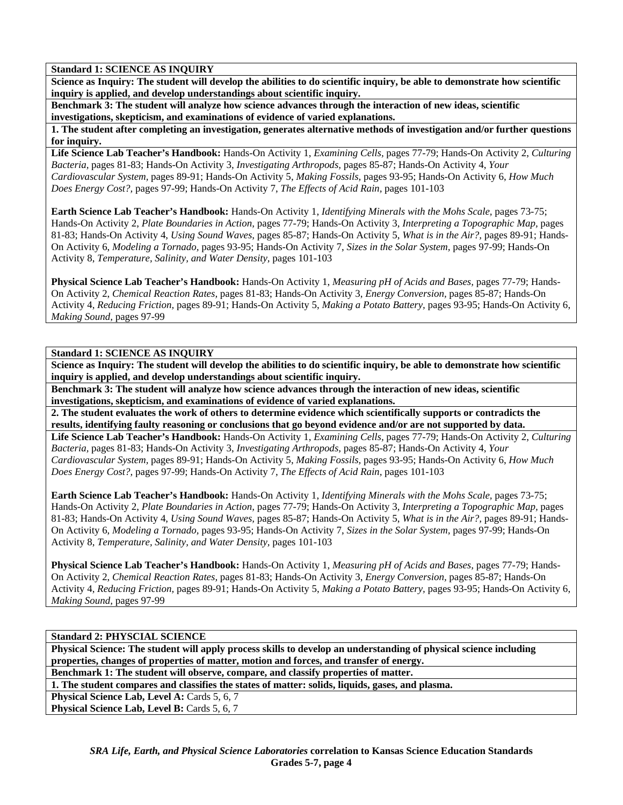# **Standard 1: SCIENCE AS INQUIRY**

**Science as Inquiry: The student will develop the abilities to do scientific inquiry, be able to demonstrate how scientific inquiry is applied, and develop understandings about scientific inquiry.** 

**Benchmark 3: The student will analyze how science advances through the interaction of new ideas, scientific investigations, skepticism, and examinations of evidence of varied explanations.** 

**1. The student after completing an investigation, generates alternative methods of investigation and/or further questions for inquiry.** 

**Life Science Lab Teacher's Handbook:** Hands-On Activity 1, *Examining Cells,* pages 77-79; Hands-On Activity 2, *Culturing Bacteria,* pages 81-83; Hands-On Activity 3, *Investigating Arthropods,* pages 85-87; Hands-On Activity 4, *Your Cardiovascular System,* pages 89-91; Hands-On Activity 5, *Making Fossils,* pages 93-95; Hands-On Activity 6, *How Much Does Energy Cost?,* pages 97-99; Hands-On Activity 7, *The Effects of Acid Rain,* pages 101-103

**Earth Science Lab Teacher's Handbook:** Hands-On Activity 1, *Identifying Minerals with the Mohs Scale,* pages 73-75; Hands-On Activity 2, *Plate Boundaries in Action,* pages 77-79; Hands-On Activity 3, *Interpreting a Topographic Map,* pages 81-83; Hands-On Activity 4, *Using Sound Waves,* pages 85-87; Hands-On Activity 5, *What is in the Air?,* pages 89-91; Hands-On Activity 6, *Modeling a Tornado,* pages 93-95; Hands-On Activity 7, *Sizes in the Solar System,* pages 97-99; Hands-On Activity 8, *Temperature, Salinity, and Water Density,* pages 101-103

**Physical Science Lab Teacher's Handbook:** Hands-On Activity 1, *Measuring pH of Acids and Bases,* pages 77-79; Hands-On Activity 2, *Chemical Reaction Rates,* pages 81-83; Hands-On Activity 3, *Energy Conversion,* pages 85-87; Hands-On Activity 4, *Reducing Friction,* pages 89-91; Hands-On Activity 5, *Making a Potato Battery,* pages 93-95; Hands-On Activity 6, *Making Sound,* pages 97-99

## **Standard 1: SCIENCE AS INQUIRY**

**Science as Inquiry: The student will develop the abilities to do scientific inquiry, be able to demonstrate how scientific inquiry is applied, and develop understandings about scientific inquiry.** 

**Benchmark 3: The student will analyze how science advances through the interaction of new ideas, scientific investigations, skepticism, and examinations of evidence of varied explanations.** 

**2. The student evaluates the work of others to determine evidence which scientifically supports or contradicts the results, identifying faulty reasoning or conclusions that go beyond evidence and/or are not supported by data.** 

**Life Science Lab Teacher's Handbook:** Hands-On Activity 1, *Examining Cells,* pages 77-79; Hands-On Activity 2, *Culturing Bacteria,* pages 81-83; Hands-On Activity 3, *Investigating Arthropods,* pages 85-87; Hands-On Activity 4, *Your Cardiovascular System,* pages 89-91; Hands-On Activity 5, *Making Fossils,* pages 93-95; Hands-On Activity 6, *How Much Does Energy Cost?,* pages 97-99; Hands-On Activity 7, *The Effects of Acid Rain,* pages 101-103

**Earth Science Lab Teacher's Handbook:** Hands-On Activity 1, *Identifying Minerals with the Mohs Scale,* pages 73-75; Hands-On Activity 2, *Plate Boundaries in Action,* pages 77-79; Hands-On Activity 3, *Interpreting a Topographic Map,* pages 81-83; Hands-On Activity 4, *Using Sound Waves,* pages 85-87; Hands-On Activity 5, *What is in the Air?,* pages 89-91; Hands-On Activity 6, *Modeling a Tornado,* pages 93-95; Hands-On Activity 7, *Sizes in the Solar System,* pages 97-99; Hands-On Activity 8, *Temperature, Salinity, and Water Density,* pages 101-103

**Physical Science Lab Teacher's Handbook:** Hands-On Activity 1, *Measuring pH of Acids and Bases,* pages 77-79; Hands-On Activity 2, *Chemical Reaction Rates,* pages 81-83; Hands-On Activity 3, *Energy Conversion,* pages 85-87; Hands-On Activity 4, *Reducing Friction,* pages 89-91; Hands-On Activity 5, *Making a Potato Battery,* pages 93-95; Hands-On Activity 6, *Making Sound,* pages 97-99

**Standard 2: PHYSCIAL SCIENCE** 

**Physical Science: The student will apply process skills to develop an understanding of physical science including properties, changes of properties of matter, motion and forces, and transfer of energy.** 

**Benchmark 1: The student will observe, compare, and classify properties of matter.** 

**1. The student compares and classifies the states of matter: solids, liquids, gases, and plasma.** 

Physical Science Lab, Level A: Cards 5, 6, 7

**Physical Science Lab, Level B: Cards 5, 6, 7**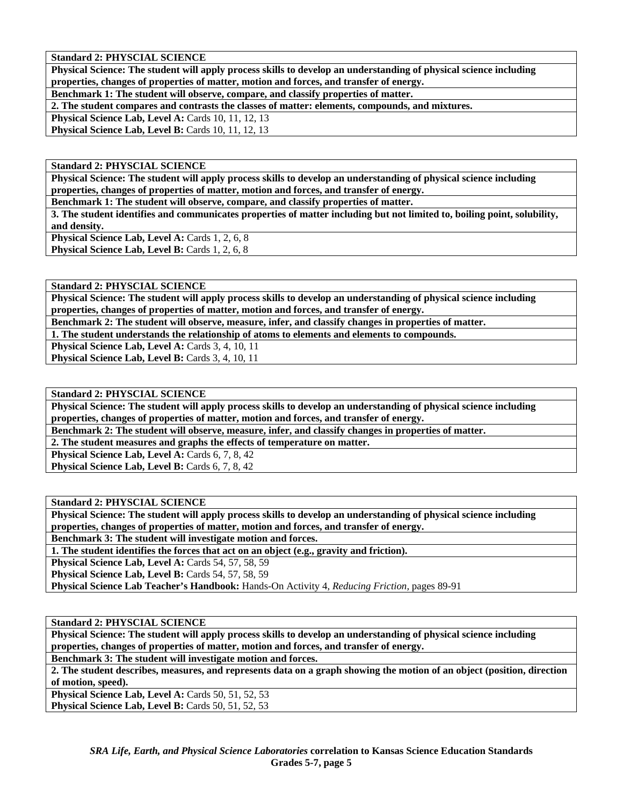**Standard 2: PHYSCIAL SCIENCE** 

**Physical Science: The student will apply process skills to develop an understanding of physical science including properties, changes of properties of matter, motion and forces, and transfer of energy.** 

**Benchmark 1: The student will observe, compare, and classify properties of matter.** 

**2. The student compares and contrasts the classes of matter: elements, compounds, and mixtures.** 

**Physical Science Lab, Level A: Cards 10, 11, 12, 13** 

Physical Science Lab, Level B: Cards 10, 11, 12, 13

**Standard 2: PHYSCIAL SCIENCE** 

**Physical Science: The student will apply process skills to develop an understanding of physical science including properties, changes of properties of matter, motion and forces, and transfer of energy.** 

**Benchmark 1: The student will observe, compare, and classify properties of matter.** 

**3. The student identifies and communicates properties of matter including but not limited to, boiling point, solubility, and density.** 

**Physical Science Lab, Level A: Cards 1, 2, 6, 8** 

Physical Science Lab, Level B: Cards 1, 2, 6, 8

**Standard 2: PHYSCIAL SCIENCE** 

**Physical Science: The student will apply process skills to develop an understanding of physical science including properties, changes of properties of matter, motion and forces, and transfer of energy.** 

**Benchmark 2: The student will observe, measure, infer, and classify changes in properties of matter.** 

**1. The student understands the relationship of atoms to elements and elements to compounds.** 

**Physical Science Lab, Level A: Cards 3, 4, 10, 11** 

Physical Science Lab, Level B: Cards 3, 4, 10, 11

**Standard 2: PHYSCIAL SCIENCE** 

**Physical Science: The student will apply process skills to develop an understanding of physical science including properties, changes of properties of matter, motion and forces, and transfer of energy.** 

**Benchmark 2: The student will observe, measure, infer, and classify changes in properties of matter.** 

**2. The student measures and graphs the effects of temperature on matter.** 

Physical Science Lab, Level A: Cards 6, 7, 8, 42 Physical Science Lab, Level B: Cards 6, 7, 8, 42

**Standard 2: PHYSCIAL SCIENCE** 

**Physical Science: The student will apply process skills to develop an understanding of physical science including properties, changes of properties of matter, motion and forces, and transfer of energy.** 

**Benchmark 3: The student will investigate motion and forces.** 

**1. The student identifies the forces that act on an object (e.g., gravity and friction).** 

**Physical Science Lab, Level A:** Cards 54, 57, 58, 59

**Physical Science Lab, Level B: Cards 54, 57, 58, 59** 

**Physical Science Lab Teacher's Handbook:** Hands-On Activity 4, *Reducing Friction,* pages 89-91

**Standard 2: PHYSCIAL SCIENCE** 

**Physical Science: The student will apply process skills to develop an understanding of physical science including properties, changes of properties of matter, motion and forces, and transfer of energy.** 

**Benchmark 3: The student will investigate motion and forces.** 

**2. The student describes, measures, and represents data on a graph showing the motion of an object (position, direction of motion, speed).** 

**Physical Science Lab, Level A: Cards 50, 51, 52, 53** Physical Science Lab, Level B: Cards 50, 51, 52, 53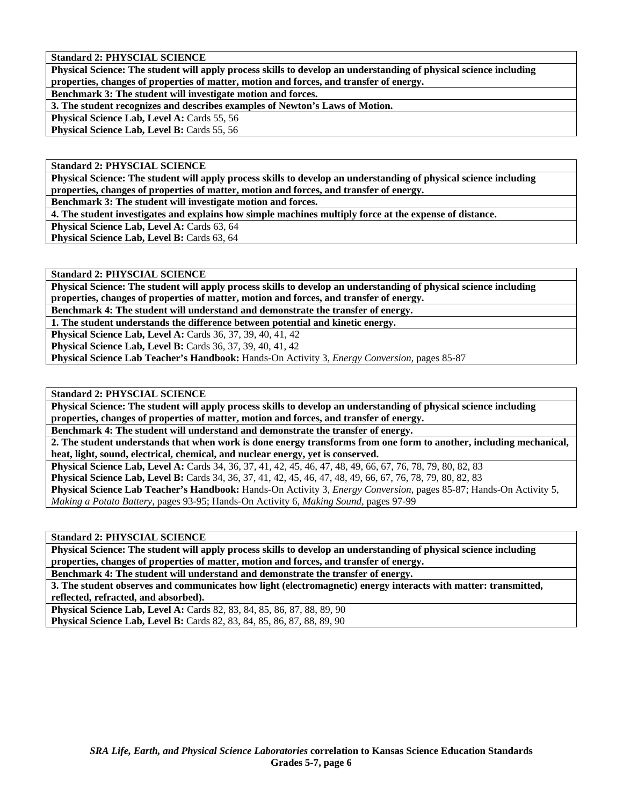**Standard 2: PHYSCIAL SCIENCE** 

**Physical Science: The student will apply process skills to develop an understanding of physical science including properties, changes of properties of matter, motion and forces, and transfer of energy.** 

**Benchmark 3: The student will investigate motion and forces.** 

**3. The student recognizes and describes examples of Newton's Laws of Motion.** 

**Physical Science Lab, Level A: Cards 55, 56** 

Physical Science Lab, Level B: Cards 55, 56

**Standard 2: PHYSCIAL SCIENCE** 

**Physical Science: The student will apply process skills to develop an understanding of physical science including properties, changes of properties of matter, motion and forces, and transfer of energy.** 

**Benchmark 3: The student will investigate motion and forces.** 

**4. The student investigates and explains how simple machines multiply force at the expense of distance.** 

**Physical Science Lab, Level A: Cards 63, 64** 

**Physical Science Lab, Level B: Cards 63, 64** 

**Standard 2: PHYSCIAL SCIENCE** 

**Physical Science: The student will apply process skills to develop an understanding of physical science including properties, changes of properties of matter, motion and forces, and transfer of energy.** 

**Benchmark 4: The student will understand and demonstrate the transfer of energy.** 

**1. The student understands the difference between potential and kinetic energy.** 

**Physical Science Lab, Level A:** Cards 36, 37, 39, 40, 41, 42

**Physical Science Lab, Level B:** Cards 36, 37, 39, 40, 41, 42

**Physical Science Lab Teacher's Handbook:** Hands-On Activity 3, *Energy Conversion,* pages 85-87

**Standard 2: PHYSCIAL SCIENCE** 

**Physical Science: The student will apply process skills to develop an understanding of physical science including properties, changes of properties of matter, motion and forces, and transfer of energy.** 

**Benchmark 4: The student will understand and demonstrate the transfer of energy.** 

**2. The student understands that when work is done energy transforms from one form to another, including mechanical, heat, light, sound, electrical, chemical, and nuclear energy, yet is conserved.** 

**Physical Science Lab, Level A:** Cards 34, 36, 37, 41, 42, 45, 46, 47, 48, 49, 66, 67, 76, 78, 79, 80, 82, 83

**Physical Science Lab, Level B:** Cards 34, 36, 37, 41, 42, 45, 46, 47, 48, 49, 66, 67, 76, 78, 79, 80, 82, 83

**Physical Science Lab Teacher's Handbook:** Hands-On Activity 3, *Energy Conversion,* pages 85-87; Hands-On Activity 5, *Making a Potato Battery,* pages 93-95; Hands-On Activity 6, *Making Sound,* pages 97-99

**Standard 2: PHYSCIAL SCIENCE** 

**Physical Science: The student will apply process skills to develop an understanding of physical science including properties, changes of properties of matter, motion and forces, and transfer of energy.** 

**Benchmark 4: The student will understand and demonstrate the transfer of energy.** 

**3. The student observes and communicates how light (electromagnetic) energy interacts with matter: transmitted, reflected, refracted, and absorbed).** 

**Physical Science Lab, Level A: Cards 82, 83, 84, 85, 86, 87, 88, 89, 90 Physical Science Lab, Level B:** Cards 82, 83, 84, 85, 86, 87, 88, 89, 90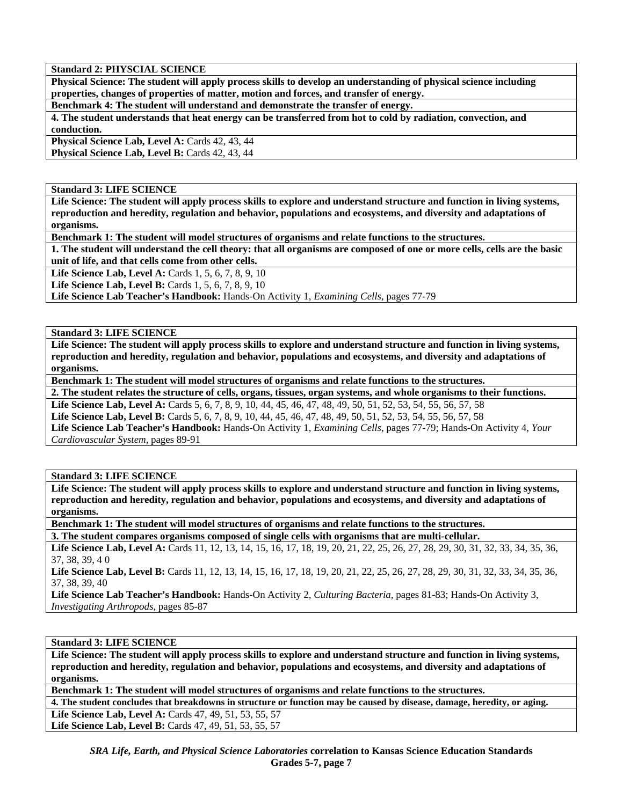**Standard 2: PHYSCIAL SCIENCE** 

**Physical Science: The student will apply process skills to develop an understanding of physical science including properties, changes of properties of matter, motion and forces, and transfer of energy.** 

**Benchmark 4: The student will understand and demonstrate the transfer of energy.** 

**4. The student understands that heat energy can be transferred from hot to cold by radiation, convection, and conduction.** 

Physical Science Lab, Level A: Cards 42, 43, 44 **Physical Science Lab, Level B: Cards 42, 43, 44** 

**Standard 3: LIFE SCIENCE** 

**Life Science: The student will apply process skills to explore and understand structure and function in living systems, reproduction and heredity, regulation and behavior, populations and ecosystems, and diversity and adaptations of organisms.** 

**Benchmark 1: The student will model structures of organisms and relate functions to the structures.** 

**1. The student will understand the cell theory: that all organisms are composed of one or more cells, cells are the basic unit of life, and that cells come from other cells.** 

**Life Science Lab, Level A: Cards 1, 5, 6, 7, 8, 9, 10** 

**Life Science Lab, Level B:** Cards 1, 5, 6, 7, 8, 9, 10

**Life Science Lab Teacher's Handbook:** Hands-On Activity 1, *Examining Cells,* pages 77-79

**Standard 3: LIFE SCIENCE** 

**Life Science: The student will apply process skills to explore and understand structure and function in living systems, reproduction and heredity, regulation and behavior, populations and ecosystems, and diversity and adaptations of organisms.** 

**Benchmark 1: The student will model structures of organisms and relate functions to the structures.** 

**2. The student relates the structure of cells, organs, tissues, organ systems, and whole organisms to their functions. Life Science Lab, Level A:** Cards 5, 6, 7, 8, 9, 10, 44, 45, 46, 47, 48, 49, 50, 51, 52, 53, 54, 55, 56, 57, 58 **Life Science Lab, Level B:** Cards 5, 6, 7, 8, 9, 10, 44, 45, 46, 47, 48, 49, 50, 51, 52, 53, 54, 55, 56, 57, 58 **Life Science Lab Teacher's Handbook:** Hands-On Activity 1, *Examining Cells,* pages 77-79; Hands-On Activity 4, *Your Cardiovascular System,* pages 89-91

**Standard 3: LIFE SCIENCE** 

**Life Science: The student will apply process skills to explore and understand structure and function in living systems, reproduction and heredity, regulation and behavior, populations and ecosystems, and diversity and adaptations of organisms.** 

**Benchmark 1: The student will model structures of organisms and relate functions to the structures.** 

**3. The student compares organisms composed of single cells with organisms that are multi-cellular.** 

Life Science Lab, Level A: Cards 11, 12, 13, 14, 15, 16, 17, 18, 19, 20, 21, 22, 25, 26, 27, 28, 29, 30, 31, 32, 33, 34, 35, 36, 37, 38, 39, 4 0

Life Science Lab, Level B: Cards 11, 12, 13, 14, 15, 16, 17, 18, 19, 20, 21, 22, 25, 26, 27, 28, 29, 30, 31, 32, 33, 34, 35, 36, 37, 38, 39, 40

**Life Science Lab Teacher's Handbook:** Hands-On Activity 2, *Culturing Bacteria,* pages 81-83; Hands-On Activity 3, *Investigating Arthropods,* pages 85-87

**Standard 3: LIFE SCIENCE** 

**Life Science: The student will apply process skills to explore and understand structure and function in living systems, reproduction and heredity, regulation and behavior, populations and ecosystems, and diversity and adaptations of organisms.** 

**Benchmark 1: The student will model structures of organisms and relate functions to the structures.** 

**4. The student concludes that breakdowns in structure or function may be caused by disease, damage, heredity, or aging. Life Science Lab, Level A:** Cards 47, 49, 51, 53, 55, 57 Life Science Lab, Level B: Cards 47, 49, 51, 53, 55, 57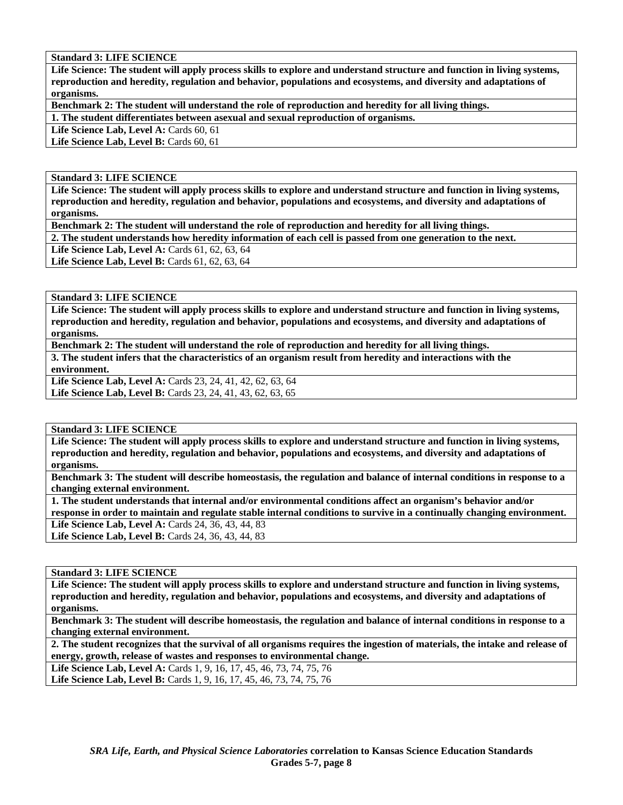# **Standard 3: LIFE SCIENCE**

**Life Science: The student will apply process skills to explore and understand structure and function in living systems, reproduction and heredity, regulation and behavior, populations and ecosystems, and diversity and adaptations of organisms.** 

**Benchmark 2: The student will understand the role of reproduction and heredity for all living things.** 

**1. The student differentiates between asexual and sexual reproduction of organisms.** 

Life Science Lab, Level A: Cards 60, 61

Life Science Lab, Level B: Cards 60, 61

## **Standard 3: LIFE SCIENCE**

**Life Science: The student will apply process skills to explore and understand structure and function in living systems, reproduction and heredity, regulation and behavior, populations and ecosystems, and diversity and adaptations of organisms.** 

**Benchmark 2: The student will understand the role of reproduction and heredity for all living things.** 

**2. The student understands how heredity information of each cell is passed from one generation to the next.** 

**Life Science Lab, Level A: Cards 61, 62, 63, 64** 

Life Science Lab, Level B: Cards 61, 62, 63, 64

**Standard 3: LIFE SCIENCE** 

**Life Science: The student will apply process skills to explore and understand structure and function in living systems, reproduction and heredity, regulation and behavior, populations and ecosystems, and diversity and adaptations of organisms.** 

**Benchmark 2: The student will understand the role of reproduction and heredity for all living things.** 

**3. The student infers that the characteristics of an organism result from heredity and interactions with the environment.** 

**Life Science Lab, Level A:** Cards 23, 24, 41, 42, 62, 63, 64

Life Science Lab, Level B: Cards 23, 24, 41, 43, 62, 63, 65

**Standard 3: LIFE SCIENCE** 

**Life Science: The student will apply process skills to explore and understand structure and function in living systems, reproduction and heredity, regulation and behavior, populations and ecosystems, and diversity and adaptations of organisms.** 

**Benchmark 3: The student will describe homeostasis, the regulation and balance of internal conditions in response to a changing external environment.** 

**1. The student understands that internal and/or environmental conditions affect an organism's behavior and/or response in order to maintain and regulate stable internal conditions to survive in a continually changing environment.**  Life Science Lab, Level A: Cards 24, 36, 43, 44, 83 Life Science Lab, Level B: Cards 24, 36, 43, 44, 83

**Standard 3: LIFE SCIENCE** 

**Life Science: The student will apply process skills to explore and understand structure and function in living systems, reproduction and heredity, regulation and behavior, populations and ecosystems, and diversity and adaptations of organisms.** 

**Benchmark 3: The student will describe homeostasis, the regulation and balance of internal conditions in response to a changing external environment.** 

**2. The student recognizes that the survival of all organisms requires the ingestion of materials, the intake and release of energy, growth, release of wastes and responses to environmental change.** 

**Life Science Lab, Level A:** Cards 1, 9, 16, 17, 45, 46, 73, 74, 75, 76 Life Science Lab, Level B: Cards 1, 9, 16, 17, 45, 46, 73, 74, 75, 76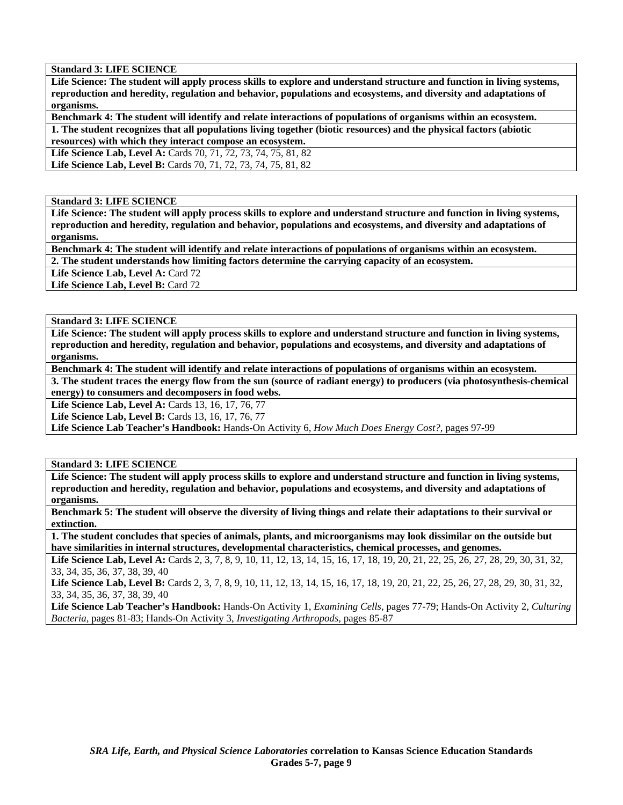**Standard 3: LIFE SCIENCE** 

**Life Science: The student will apply process skills to explore and understand structure and function in living systems, reproduction and heredity, regulation and behavior, populations and ecosystems, and diversity and adaptations of organisms.** 

**Benchmark 4: The student will identify and relate interactions of populations of organisms within an ecosystem. 1. The student recognizes that all populations living together (biotic resources) and the physical factors (abiotic** 

**resources) with which they interact compose an ecosystem.** 

**Life Science Lab, Level A:** Cards 70, 71, 72, 73, 74, 75, 81, 82

**Life Science Lab, Level B:** Cards 70, 71, 72, 73, 74, 75, 81, 82

**Standard 3: LIFE SCIENCE** 

**Life Science: The student will apply process skills to explore and understand structure and function in living systems, reproduction and heredity, regulation and behavior, populations and ecosystems, and diversity and adaptations of organisms.** 

**Benchmark 4: The student will identify and relate interactions of populations of organisms within an ecosystem.** 

**2. The student understands how limiting factors determine the carrying capacity of an ecosystem.** 

Life Science Lab, Level A: Card 72

Life Science Lab, Level B: Card 72

**Standard 3: LIFE SCIENCE** 

**Life Science: The student will apply process skills to explore and understand structure and function in living systems, reproduction and heredity, regulation and behavior, populations and ecosystems, and diversity and adaptations of organisms.** 

**Benchmark 4: The student will identify and relate interactions of populations of organisms within an ecosystem.** 

**3. The student traces the energy flow from the sun (source of radiant energy) to producers (via photosynthesis-chemical energy) to consumers and decomposers in food webs.** 

**Life Science Lab, Level A: Cards 13, 16, 17, 76, 77** 

**Life Science Lab, Level B:** Cards 13, 16, 17, 76, 77

**Life Science Lab Teacher's Handbook:** Hands-On Activity 6, *How Much Does Energy Cost?,* pages 97-99

**Standard 3: LIFE SCIENCE** 

**Life Science: The student will apply process skills to explore and understand structure and function in living systems, reproduction and heredity, regulation and behavior, populations and ecosystems, and diversity and adaptations of organisms.** 

**Benchmark 5: The student will observe the diversity of living things and relate their adaptations to their survival or extinction.** 

**1. The student concludes that species of animals, plants, and microorganisms may look dissimilar on the outside but have similarities in internal structures, developmental characteristics, chemical processes, and genomes.** 

Life Science Lab, Level A: Cards 2, 3, 7, 8, 9, 10, 11, 12, 13, 14, 15, 16, 17, 18, 19, 20, 21, 22, 25, 26, 27, 28, 29, 30, 31, 32, 33, 34, 35, 36, 37, 38, 39, 40

Life Science Lab, Level B: Cards 2, 3, 7, 8, 9, 10, 11, 12, 13, 14, 15, 16, 17, 18, 19, 20, 21, 22, 25, 26, 27, 28, 29, 30, 31, 32, 33, 34, 35, 36, 37, 38, 39, 40

**Life Science Lab Teacher's Handbook:** Hands-On Activity 1, *Examining Cells,* pages 77-79; Hands-On Activity 2, *Culturing Bacteria,* pages 81-83; Hands-On Activity 3, *Investigating Arthropods,* pages 85-87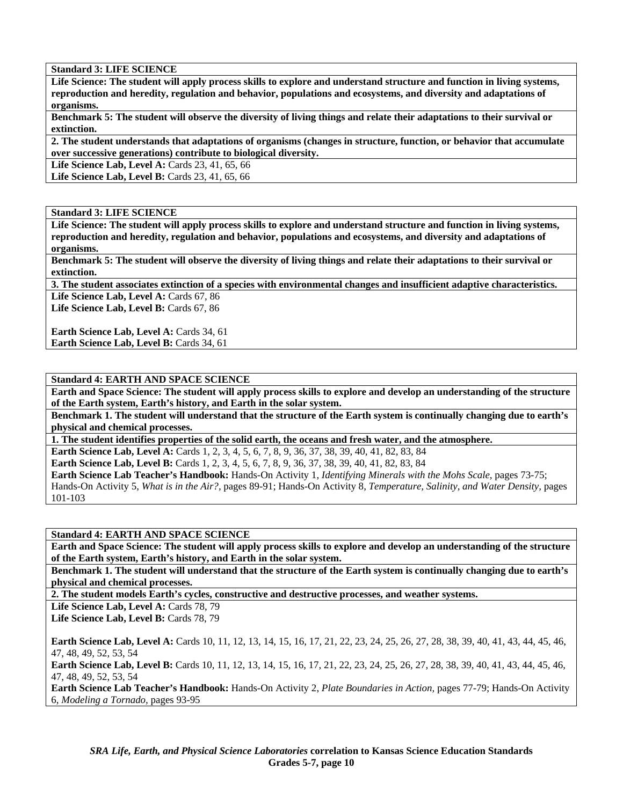**Standard 3: LIFE SCIENCE** 

**Life Science: The student will apply process skills to explore and understand structure and function in living systems, reproduction and heredity, regulation and behavior, populations and ecosystems, and diversity and adaptations of organisms.** 

**Benchmark 5: The student will observe the diversity of living things and relate their adaptations to their survival or extinction.** 

**2. The student understands that adaptations of organisms (changes in structure, function, or behavior that accumulate over successive generations) contribute to biological diversity.** 

Life Science Lab, Level A: Cards 23, 41, 65, 66

Life Science Lab, Level B: Cards 23, 41, 65, 66

## **Standard 3: LIFE SCIENCE**

**Life Science: The student will apply process skills to explore and understand structure and function in living systems, reproduction and heredity, regulation and behavior, populations and ecosystems, and diversity and adaptations of organisms.** 

**Benchmark 5: The student will observe the diversity of living things and relate their adaptations to their survival or extinction.** 

**3. The student associates extinction of a species with environmental changes and insufficient adaptive characteristics.**  Life Science Lab, Level A: Cards 67, 86

Life Science Lab, Level B: Cards 67, 86

Earth Science Lab, Level A: Cards 34, 61 **Earth Science Lab, Level B: Cards 34, 61** 

## **Standard 4: EARTH AND SPACE SCIENCE**

**Earth and Space Science: The student will apply process skills to explore and develop an understanding of the structure of the Earth system, Earth's history, and Earth in the solar system.** 

**Benchmark 1. The student will understand that the structure of the Earth system is continually changing due to earth's physical and chemical processes.** 

**1. The student identifies properties of the solid earth, the oceans and fresh water, and the atmosphere.** 

**Earth Science Lab, Level A:** Cards 1, 2, 3, 4, 5, 6, 7, 8, 9, 36, 37, 38, 39, 40, 41, 82, 83, 84

**Earth Science Lab, Level B:** Cards 1, 2, 3, 4, 5, 6, 7, 8, 9, 36, 37, 38, 39, 40, 41, 82, 83, 84

**Earth Science Lab Teacher's Handbook:** Hands-On Activity 1, *Identifying Minerals with the Mohs Scale,* pages 73-75; Hands-On Activity 5, *What is in the Air?,* pages 89-91; Hands-On Activity 8, *Temperature, Salinity, and Water Density,* pages 101-103

**Standard 4: EARTH AND SPACE SCIENCE** 

**Earth and Space Science: The student will apply process skills to explore and develop an understanding of the structure of the Earth system, Earth's history, and Earth in the solar system.** 

**Benchmark 1. The student will understand that the structure of the Earth system is continually changing due to earth's physical and chemical processes.** 

**2. The student models Earth's cycles, constructive and destructive processes, and weather systems.** 

Life Science Lab, Level A: Cards 78, 79

Life Science Lab, Level B: Cards 78, 79

**Earth Science Lab, Level A:** Cards 10, 11, 12, 13, 14, 15, 16, 17, 21, 22, 23, 24, 25, 26, 27, 28, 38, 39, 40, 41, 43, 44, 45, 46, 47, 48, 49, 52, 53, 54

**Earth Science Lab, Level B:** Cards 10, 11, 12, 13, 14, 15, 16, 17, 21, 22, 23, 24, 25, 26, 27, 28, 38, 39, 40, 41, 43, 44, 45, 46, 47, 48, 49, 52, 53, 54

**Earth Science Lab Teacher's Handbook:** Hands-On Activity 2, *Plate Boundaries in Action,* pages 77-79; Hands-On Activity 6, *Modeling a Tornado,* pages 93-95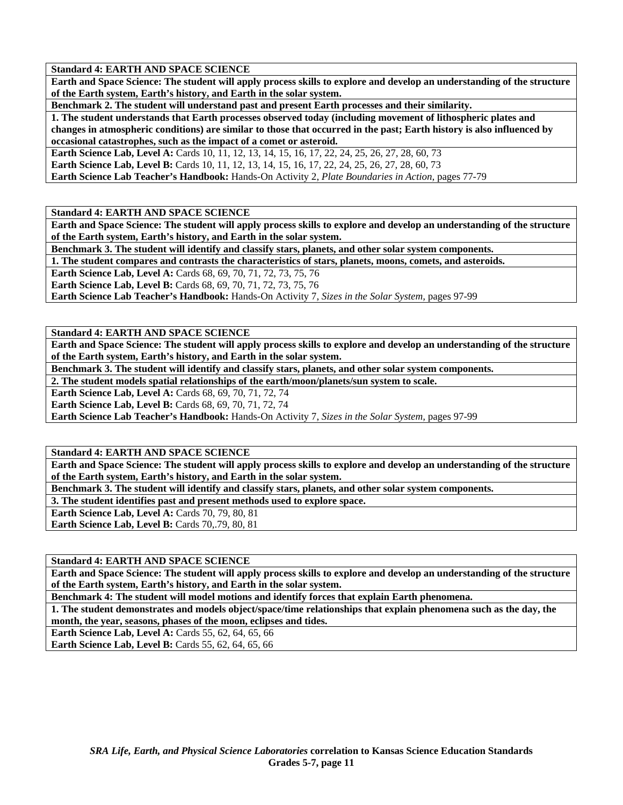**Earth and Space Science: The student will apply process skills to explore and develop an understanding of the structure of the Earth system, Earth's history, and Earth in the solar system.** 

**Benchmark 2. The student will understand past and present Earth processes and their similarity.** 

**1. The student understands that Earth processes observed today (including movement of lithospheric plates and changes in atmospheric conditions) are similar to those that occurred in the past; Earth history is also influenced by occasional catastrophes, such as the impact of a comet or asteroid.** 

**Earth Science Lab, Level A:** Cards 10, 11, 12, 13, 14, 15, 16, 17, 22, 24, 25, 26, 27, 28, 60, 73

**Earth Science Lab, Level B:** Cards 10, 11, 12, 13, 14, 15, 16, 17, 22, 24, 25, 26, 27, 28, 60, 73

**Earth Science Lab Teacher's Handbook:** Hands-On Activity 2, *Plate Boundaries in Action,* pages 77-79

**Standard 4: EARTH AND SPACE SCIENCE** 

**Earth and Space Science: The student will apply process skills to explore and develop an understanding of the structure of the Earth system, Earth's history, and Earth in the solar system.** 

**Benchmark 3. The student will identify and classify stars, planets, and other solar system components.** 

**1. The student compares and contrasts the characteristics of stars, planets, moons, comets, and asteroids.** 

**Earth Science Lab, Level A:** Cards 68, 69, 70, 71, 72, 73, 75, 76

**Earth Science Lab, Level B:** Cards 68, 69, 70, 71, 72, 73, 75, 76

**Earth Science Lab Teacher's Handbook:** Hands-On Activity 7, *Sizes in the Solar System,* pages 97-99

**Standard 4: EARTH AND SPACE SCIENCE** 

**Earth and Space Science: The student will apply process skills to explore and develop an understanding of the structure of the Earth system, Earth's history, and Earth in the solar system.** 

**Benchmark 3. The student will identify and classify stars, planets, and other solar system components.** 

**2. The student models spatial relationships of the earth/moon/planets/sun system to scale.** 

**Earth Science Lab, Level A: Cards 68, 69, 70, 71, 72, 74** 

**Earth Science Lab, Level B: Cards 68, 69, 70, 71, 72, 74** 

**Earth Science Lab Teacher's Handbook:** Hands-On Activity 7, *Sizes in the Solar System,* pages 97-99

**Standard 4: EARTH AND SPACE SCIENCE** 

**Earth and Space Science: The student will apply process skills to explore and develop an understanding of the structure of the Earth system, Earth's history, and Earth in the solar system.** 

**Benchmark 3. The student will identify and classify stars, planets, and other solar system components.** 

**3. The student identifies past and present methods used to explore space.** 

**Earth Science Lab, Level A: Cards 70, 79, 80, 81** 

Earth Science Lab, Level B: Cards 70, 79, 80, 81

**Standard 4: EARTH AND SPACE SCIENCE** 

**Earth and Space Science: The student will apply process skills to explore and develop an understanding of the structure of the Earth system, Earth's history, and Earth in the solar system.** 

**Benchmark 4: The student will model motions and identify forces that explain Earth phenomena.** 

**1. The student demonstrates and models object/space/time relationships that explain phenomena such as the day, the month, the year, seasons, phases of the moon, eclipses and tides.** 

**Earth Science Lab, Level A: Cards 55, 62, 64, 65, 66** 

**Earth Science Lab, Level B:** Cards 55, 62, 64, 65, 66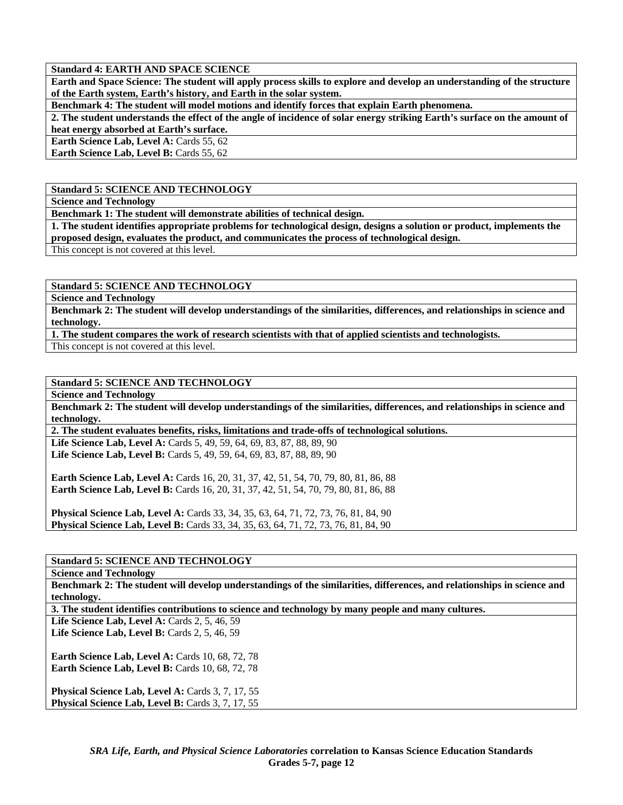**Earth and Space Science: The student will apply process skills to explore and develop an understanding of the structure of the Earth system, Earth's history, and Earth in the solar system.** 

**Benchmark 4: The student will model motions and identify forces that explain Earth phenomena.** 

**2. The student understands the effect of the angle of incidence of solar energy striking Earth's surface on the amount of heat energy absorbed at Earth's surface.** 

**Earth Science Lab, Level A: Cards 55, 62** 

**Earth Science Lab, Level B: Cards 55, 62** 

# **Standard 5: SCIENCE AND TECHNOLOGY**

**Science and Technology** 

**Benchmark 1: The student will demonstrate abilities of technical design.** 

**1. The student identifies appropriate problems for technological design, designs a solution or product, implements the proposed design, evaluates the product, and communicates the process of technological design.** 

This concept is not covered at this level.

**Standard 5: SCIENCE AND TECHNOLOGY** 

**Science and Technology** 

**Benchmark 2: The student will develop understandings of the similarities, differences, and relationships in science and technology.** 

**1. The student compares the work of research scientists with that of applied scientists and technologists.** 

This concept is not covered at this level.

# **Standard 5: SCIENCE AND TECHNOLOGY**

**Science and Technology** 

**Benchmark 2: The student will develop understandings of the similarities, differences, and relationships in science and technology.** 

**2. The student evaluates benefits, risks, limitations and trade-offs of technological solutions.** 

Life Science Lab, Level A: Cards 5, 49, 59, 64, 69, 83, 87, 88, 89, 90 Life Science Lab, Level B: Cards 5, 49, 59, 64, 69, 83, 87, 88, 89, 90

**Earth Science Lab, Level A:** Cards 16, 20, 31, 37, 42, 51, 54, 70, 79, 80, 81, 86, 88 Earth Science Lab, Level B: Cards 16, 20, 31, 37, 42, 51, 54, 70, 79, 80, 81, 86, 88

**Physical Science Lab, Level A:** Cards 33, 34, 35, 63, 64, 71, 72, 73, 76, 81, 84, 90 **Physical Science Lab, Level B:** Cards 33, 34, 35, 63, 64, 71, 72, 73, 76, 81, 84, 90

# **Standard 5: SCIENCE AND TECHNOLOGY**

**Science and Technology** 

**Benchmark 2: The student will develop understandings of the similarities, differences, and relationships in science and technology.** 

**3. The student identifies contributions to science and technology by many people and many cultures.** 

Life Science Lab, Level A: Cards 2, 5, 46, 59 Life Science Lab, Level B: Cards 2, 5, 46, 59

**Earth Science Lab, Level A: Cards 10, 68, 72, 78 Earth Science Lab, Level B: Cards 10, 68, 72, 78** 

Physical Science Lab, Level A: Cards 3, 7, 17, 55 Physical Science Lab, Level B: Cards 3, 7, 17, 55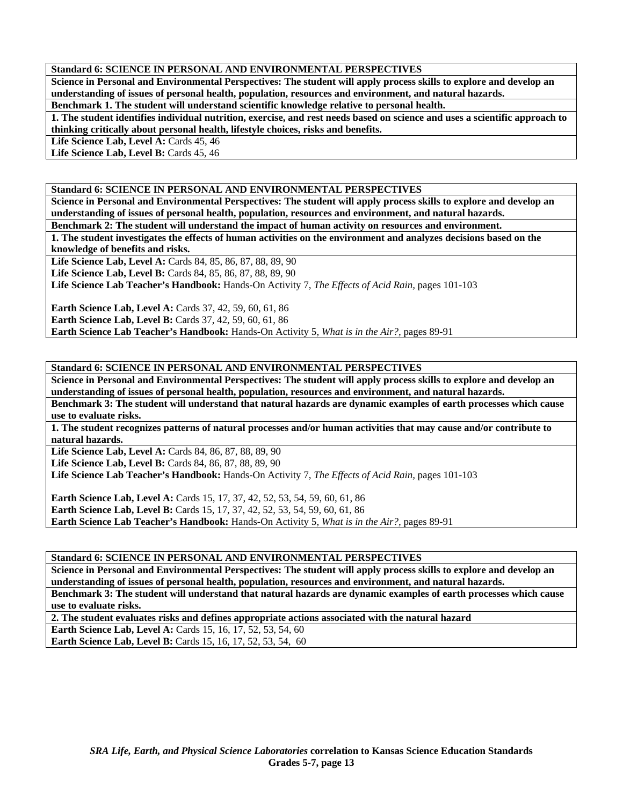## **Standard 6: SCIENCE IN PERSONAL AND ENVIRONMENTAL PERSPECTIVES**

**Science in Personal and Environmental Perspectives: The student will apply process skills to explore and develop an understanding of issues of personal health, population, resources and environment, and natural hazards.** 

**Benchmark 1. The student will understand scientific knowledge relative to personal health.** 

**1. The student identifies individual nutrition, exercise, and rest needs based on science and uses a scientific approach to thinking critically about personal health, lifestyle choices, risks and benefits.** 

Life Science Lab, Level A: Cards 45, 46

Life Science Lab, Level B: Cards 45, 46

# **Standard 6: SCIENCE IN PERSONAL AND ENVIRONMENTAL PERSPECTIVES**

**Science in Personal and Environmental Perspectives: The student will apply process skills to explore and develop an understanding of issues of personal health, population, resources and environment, and natural hazards.** 

**Benchmark 2: The student will understand the impact of human activity on resources and environment.** 

**1. The student investigates the effects of human activities on the environment and analyzes decisions based on the knowledge of benefits and risks.** 

**Life Science Lab, Level A:** Cards 84, 85, 86, 87, 88, 89, 90

**Life Science Lab, Level B:** Cards 84, 85, 86, 87, 88, 89, 90

**Life Science Lab Teacher's Handbook:** Hands-On Activity 7, *The Effects of Acid Rain,* pages 101-103

**Earth Science Lab, Level A: Cards 37, 42, 59, 60, 61, 86 Earth Science Lab, Level B:** Cards 37, 42, 59, 60, 61, 86 **Earth Science Lab Teacher's Handbook:** Hands-On Activity 5, *What is in the Air?,* pages 89-91

#### **Standard 6: SCIENCE IN PERSONAL AND ENVIRONMENTAL PERSPECTIVES**

**Science in Personal and Environmental Perspectives: The student will apply process skills to explore and develop an understanding of issues of personal health, population, resources and environment, and natural hazards.** 

**Benchmark 3: The student will understand that natural hazards are dynamic examples of earth processes which cause use to evaluate risks.** 

**1. The student recognizes patterns of natural processes and/or human activities that may cause and/or contribute to natural hazards.** 

Life Science Lab, Level A: Cards 84, 86, 87, 88, 89, 90 Life Science Lab, Level B: Cards 84, 86, 87, 88, 89, 90

**Life Science Lab Teacher's Handbook:** Hands-On Activity 7, *The Effects of Acid Rain,* pages 101-103

**Earth Science Lab, Level A: Cards 15, 17, 37, 42, 52, 53, 54, 59, 60, 61, 86 Earth Science Lab, Level B:** Cards 15, 17, 37, 42, 52, 53, 54, 59, 60, 61, 86 **Earth Science Lab Teacher's Handbook:** Hands-On Activity 5, *What is in the Air?,* pages 89-91

**Standard 6: SCIENCE IN PERSONAL AND ENVIRONMENTAL PERSPECTIVES** 

**Science in Personal and Environmental Perspectives: The student will apply process skills to explore and develop an understanding of issues of personal health, population, resources and environment, and natural hazards. Benchmark 3: The student will understand that natural hazards are dynamic examples of earth processes which cause use to evaluate risks.** 

**2. The student evaluates risks and defines appropriate actions associated with the natural hazard** 

**Earth Science Lab, Level A: Cards 15, 16, 17, 52, 53, 54, 60** 

**Earth Science Lab, Level B:** Cards 15, 16, 17, 52, 53, 54, 60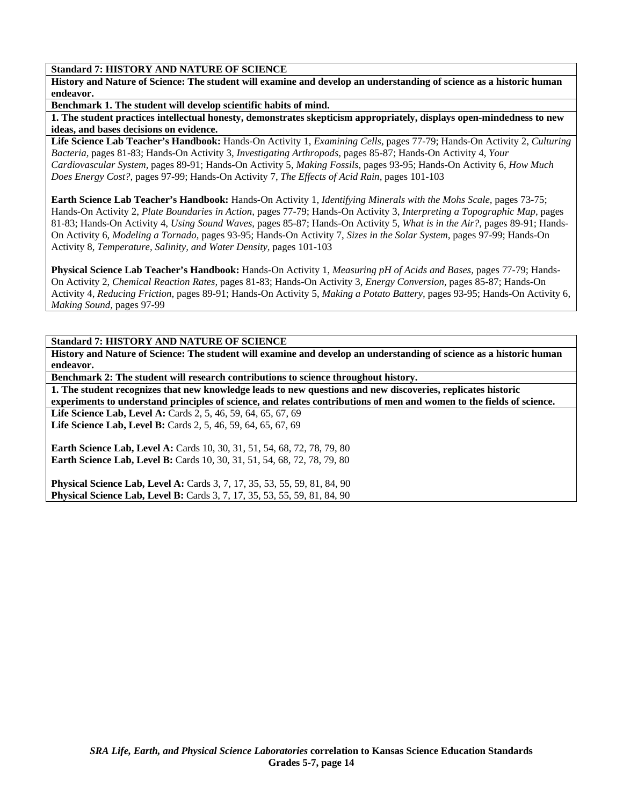# **Standard 7: HISTORY AND NATURE OF SCIENCE**

**History and Nature of Science: The student will examine and develop an understanding of science as a historic human endeavor.** 

**Benchmark 1. The student will develop scientific habits of mind.** 

**1. The student practices intellectual honesty, demonstrates skepticism appropriately, displays open-mindedness to new ideas, and bases decisions on evidence.** 

**Life Science Lab Teacher's Handbook:** Hands-On Activity 1, *Examining Cells,* pages 77-79; Hands-On Activity 2, *Culturing Bacteria,* pages 81-83; Hands-On Activity 3, *Investigating Arthropods,* pages 85-87; Hands-On Activity 4, *Your Cardiovascular System,* pages 89-91; Hands-On Activity 5, *Making Fossils,* pages 93-95; Hands-On Activity 6, *How Much Does Energy Cost?,* pages 97-99; Hands-On Activity 7, *The Effects of Acid Rain,* pages 101-103

**Earth Science Lab Teacher's Handbook:** Hands-On Activity 1, *Identifying Minerals with the Mohs Scale,* pages 73-75; Hands-On Activity 2, *Plate Boundaries in Action,* pages 77-79; Hands-On Activity 3, *Interpreting a Topographic Map,* pages 81-83; Hands-On Activity 4, *Using Sound Waves,* pages 85-87; Hands-On Activity 5, *What is in the Air?,* pages 89-91; Hands-On Activity 6, *Modeling a Tornado,* pages 93-95; Hands-On Activity 7, *Sizes in the Solar System,* pages 97-99; Hands-On Activity 8, *Temperature, Salinity, and Water Density,* pages 101-103

**Physical Science Lab Teacher's Handbook:** Hands-On Activity 1, *Measuring pH of Acids and Bases,* pages 77-79; Hands-On Activity 2, *Chemical Reaction Rates,* pages 81-83; Hands-On Activity 3, *Energy Conversion,* pages 85-87; Hands-On Activity 4, *Reducing Friction,* pages 89-91; Hands-On Activity 5, *Making a Potato Battery,* pages 93-95; Hands-On Activity 6, *Making Sound,* pages 97-99

**Standard 7: HISTORY AND NATURE OF SCIENCE** 

**History and Nature of Science: The student will examine and develop an understanding of science as a historic human endeavor.** 

**Benchmark 2: The student will research contributions to science throughout history.** 

**1. The student recognizes that new knowledge leads to new questions and new discoveries, replicates historic experiments to understand principles of science, and relates contributions of men and women to the fields of science.**  Life Science Lab, Level A: Cards 2, 5, 46, 59, 64, 65, 67, 69

**Life Science Lab, Level B:** Cards 2, 5, 46, 59, 64, 65, 67, 69

**Earth Science Lab, Level A:** Cards 10, 30, 31, 51, 54, 68, 72, 78, 79, 80 **Earth Science Lab, Level B:** Cards 10, 30, 31, 51, 54, 68, 72, 78, 79, 80

**Physical Science Lab, Level A: Cards 3, 7, 17, 35, 53, 55, 59, 81, 84, 90 Physical Science Lab, Level B:** Cards 3, 7, 17, 35, 53, 55, 59, 81, 84, 90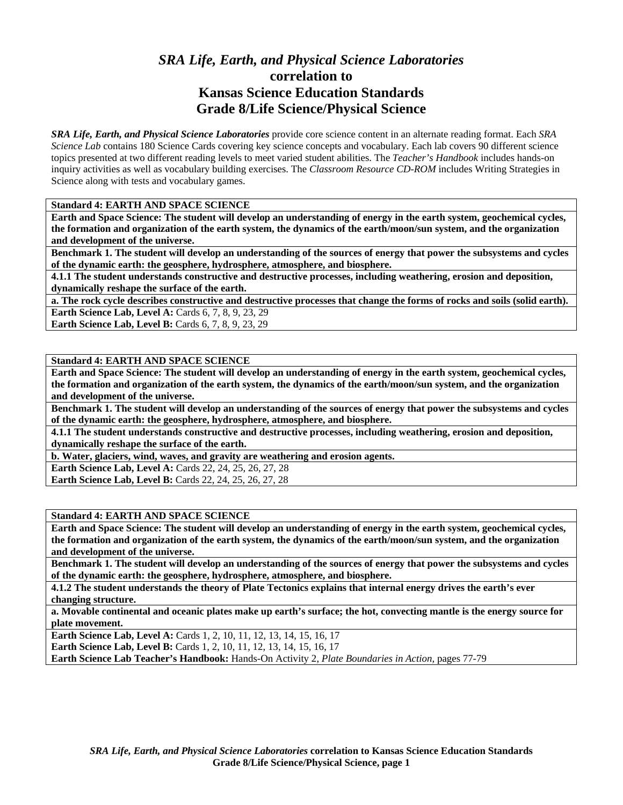# *SRA Life, Earth, and Physical Science Laboratories*  **correlation to Kansas Science Education Standards Grade 8/Life Science/Physical Science**

*SRA Life, Earth, and Physical Science Laboratories* provide core science content in an alternate reading format. Each *SRA Science Lab* contains 180 Science Cards covering key science concepts and vocabulary. Each lab covers 90 different science topics presented at two different reading levels to meet varied student abilities. The *Teacher's Handbook* includes hands-on inquiry activities as well as vocabulary building exercises. The *Classroom Resource CD-ROM* includes Writing Strategies in Science along with tests and vocabulary games.

## **Standard 4: EARTH AND SPACE SCIENCE**

**Earth and Space Science: The student will develop an understanding of energy in the earth system, geochemical cycles, the formation and organization of the earth system, the dynamics of the earth/moon/sun system, and the organization and development of the universe.** 

**Benchmark 1. The student will develop an understanding of the sources of energy that power the subsystems and cycles of the dynamic earth: the geosphere, hydrosphere, atmosphere, and biosphere.** 

**4.1.1 The student understands constructive and destructive processes, including weathering, erosion and deposition, dynamically reshape the surface of the earth.** 

**a. The rock cycle describes constructive and destructive processes that change the forms of rocks and soils (solid earth). Earth Science Lab, Level A: Cards 6, 7, 8, 9, 23, 29** 

**Earth Science Lab, Level B:** Cards 6, 7, 8, 9, 23, 29

## **Standard 4: EARTH AND SPACE SCIENCE**

**Earth and Space Science: The student will develop an understanding of energy in the earth system, geochemical cycles, the formation and organization of the earth system, the dynamics of the earth/moon/sun system, and the organization and development of the universe.** 

**Benchmark 1. The student will develop an understanding of the sources of energy that power the subsystems and cycles of the dynamic earth: the geosphere, hydrosphere, atmosphere, and biosphere.** 

**4.1.1 The student understands constructive and destructive processes, including weathering, erosion and deposition, dynamically reshape the surface of the earth.** 

**b. Water, glaciers, wind, waves, and gravity are weathering and erosion agents.** 

**Earth Science Lab, Level A:** Cards 22, 24, 25, 26, 27, 28

**Earth Science Lab, Level B:** Cards 22, 24, 25, 26, 27, 28

## **Standard 4: EARTH AND SPACE SCIENCE**

**Earth and Space Science: The student will develop an understanding of energy in the earth system, geochemical cycles, the formation and organization of the earth system, the dynamics of the earth/moon/sun system, and the organization and development of the universe.** 

**Benchmark 1. The student will develop an understanding of the sources of energy that power the subsystems and cycles of the dynamic earth: the geosphere, hydrosphere, atmosphere, and biosphere.** 

**4.1.2 The student understands the theory of Plate Tectonics explains that internal energy drives the earth's ever changing structure.** 

**a. Movable continental and oceanic plates make up earth's surface; the hot, convecting mantle is the energy source for plate movement.** 

**Earth Science Lab, Level A: Cards 1, 2, 10, 11, 12, 13, 14, 15, 16, 17 Earth Science Lab, Level B:** Cards 1, 2, 10, 11, 12, 13, 14, 15, 16, 17

**Earth Science Lab Teacher's Handbook:** Hands-On Activity 2, *Plate Boundaries in Action,* pages 77-79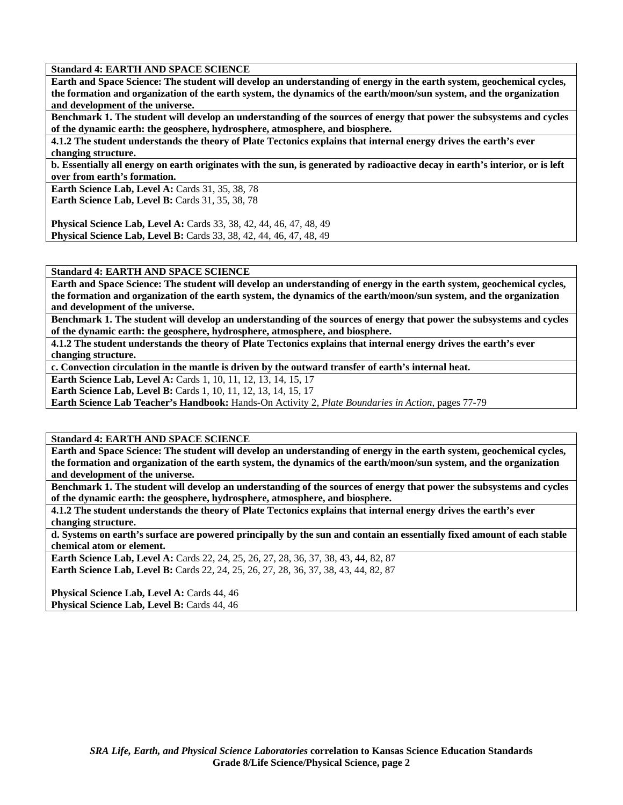**Earth and Space Science: The student will develop an understanding of energy in the earth system, geochemical cycles, the formation and organization of the earth system, the dynamics of the earth/moon/sun system, and the organization and development of the universe.** 

**Benchmark 1. The student will develop an understanding of the sources of energy that power the subsystems and cycles of the dynamic earth: the geosphere, hydrosphere, atmosphere, and biosphere.** 

**4.1.2 The student understands the theory of Plate Tectonics explains that internal energy drives the earth's ever changing structure.** 

**b. Essentially all energy on earth originates with the sun, is generated by radioactive decay in earth's interior, or is left over from earth's formation.** 

**Earth Science Lab, Level A: Cards 31, 35, 38, 78** 

**Earth Science Lab, Level B: Cards 31, 35, 38, 78** 

**Physical Science Lab, Level A:** Cards 33, 38, 42, 44, 46, 47, 48, 49 **Physical Science Lab, Level B:** Cards 33, 38, 42, 44, 46, 47, 48, 49

**Standard 4: EARTH AND SPACE SCIENCE** 

**Earth and Space Science: The student will develop an understanding of energy in the earth system, geochemical cycles, the formation and organization of the earth system, the dynamics of the earth/moon/sun system, and the organization and development of the universe.** 

**Benchmark 1. The student will develop an understanding of the sources of energy that power the subsystems and cycles of the dynamic earth: the geosphere, hydrosphere, atmosphere, and biosphere.** 

**4.1.2 The student understands the theory of Plate Tectonics explains that internal energy drives the earth's ever changing structure.** 

**c. Convection circulation in the mantle is driven by the outward transfer of earth's internal heat.** 

**Earth Science Lab, Level A: Cards 1, 10, 11, 12, 13, 14, 15, 17** 

**Earth Science Lab, Level B:** Cards 1, 10, 11, 12, 13, 14, 15, 17

**Earth Science Lab Teacher's Handbook:** Hands-On Activity 2, *Plate Boundaries in Action,* pages 77-79

**Standard 4: EARTH AND SPACE SCIENCE** 

**Earth and Space Science: The student will develop an understanding of energy in the earth system, geochemical cycles, the formation and organization of the earth system, the dynamics of the earth/moon/sun system, and the organization and development of the universe.** 

**Benchmark 1. The student will develop an understanding of the sources of energy that power the subsystems and cycles of the dynamic earth: the geosphere, hydrosphere, atmosphere, and biosphere.** 

**4.1.2 The student understands the theory of Plate Tectonics explains that internal energy drives the earth's ever changing structure.** 

**d. Systems on earth's surface are powered principally by the sun and contain an essentially fixed amount of each stable chemical atom or element.** 

**Earth Science Lab, Level A:** Cards 22, 24, 25, 26, 27, 28, 36, 37, 38, 43, 44, 82, 87 **Earth Science Lab, Level B:** Cards 22, 24, 25, 26, 27, 28, 36, 37, 38, 43, 44, 82, 87

Physical Science Lab, Level A: Cards 44, 46 Physical Science Lab, Level B: Cards 44, 46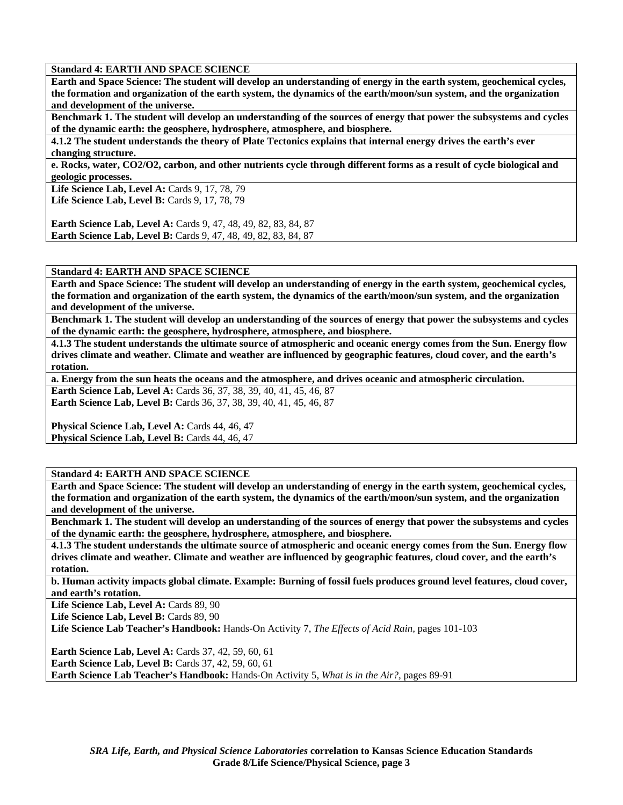**Earth and Space Science: The student will develop an understanding of energy in the earth system, geochemical cycles, the formation and organization of the earth system, the dynamics of the earth/moon/sun system, and the organization and development of the universe.** 

**Benchmark 1. The student will develop an understanding of the sources of energy that power the subsystems and cycles of the dynamic earth: the geosphere, hydrosphere, atmosphere, and biosphere.** 

**4.1.2 The student understands the theory of Plate Tectonics explains that internal energy drives the earth's ever changing structure.** 

**e. Rocks, water, CO2/O2, carbon, and other nutrients cycle through different forms as a result of cycle biological and geologic processes.** 

Life Science Lab, Level A: Cards 9, 17, 78, 79 Life Science Lab, Level B: Cards 9, 17, 78, 79

**Earth Science Lab, Level A:** Cards 9, 47, 48, 49, 82, 83, 84, 87 **Earth Science Lab, Level B:** Cards 9, 47, 48, 49, 82, 83, 84, 87

**Standard 4: EARTH AND SPACE SCIENCE** 

**Earth and Space Science: The student will develop an understanding of energy in the earth system, geochemical cycles, the formation and organization of the earth system, the dynamics of the earth/moon/sun system, and the organization and development of the universe.** 

**Benchmark 1. The student will develop an understanding of the sources of energy that power the subsystems and cycles of the dynamic earth: the geosphere, hydrosphere, atmosphere, and biosphere.** 

**4.1.3 The student understands the ultimate source of atmospheric and oceanic energy comes from the Sun. Energy flow drives climate and weather. Climate and weather are influenced by geographic features, cloud cover, and the earth's rotation.** 

**a. Energy from the sun heats the oceans and the atmosphere, and drives oceanic and atmospheric circulation.**  Earth Science Lab, Level A: Cards 36, 37, 38, 39, 40, 41, 45, 46, 87 **Earth Science Lab, Level B:** Cards 36, 37, 38, 39, 40, 41, 45, 46, 87

Physical Science Lab, Level A: Cards 44, 46, 47 Physical Science Lab, Level B: Cards 44, 46, 47

**Standard 4: EARTH AND SPACE SCIENCE** 

**Earth and Space Science: The student will develop an understanding of energy in the earth system, geochemical cycles, the formation and organization of the earth system, the dynamics of the earth/moon/sun system, and the organization and development of the universe.** 

**Benchmark 1. The student will develop an understanding of the sources of energy that power the subsystems and cycles of the dynamic earth: the geosphere, hydrosphere, atmosphere, and biosphere.** 

**4.1.3 The student understands the ultimate source of atmospheric and oceanic energy comes from the Sun. Energy flow drives climate and weather. Climate and weather are influenced by geographic features, cloud cover, and the earth's rotation.** 

**b. Human activity impacts global climate. Example: Burning of fossil fuels produces ground level features, cloud cover, and earth's rotation.** 

Life Science Lab, Level A: Cards 89, 90

Life Science Lab, Level B: Cards 89, 90

**Life Science Lab Teacher's Handbook:** Hands-On Activity 7, *The Effects of Acid Rain,* pages 101-103

**Earth Science Lab, Level A: Cards 37, 42, 59, 60, 61 Earth Science Lab, Level B:** Cards 37, 42, 59, 60, 61 **Earth Science Lab Teacher's Handbook:** Hands-On Activity 5, *What is in the Air?,* pages 89-91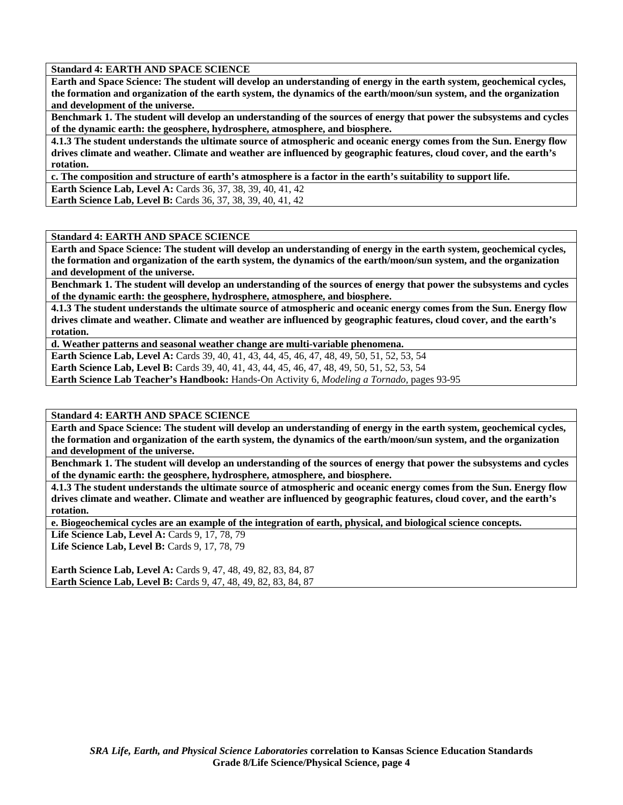**Earth and Space Science: The student will develop an understanding of energy in the earth system, geochemical cycles, the formation and organization of the earth system, the dynamics of the earth/moon/sun system, and the organization and development of the universe.** 

**Benchmark 1. The student will develop an understanding of the sources of energy that power the subsystems and cycles of the dynamic earth: the geosphere, hydrosphere, atmosphere, and biosphere.** 

**4.1.3 The student understands the ultimate source of atmospheric and oceanic energy comes from the Sun. Energy flow drives climate and weather. Climate and weather are influenced by geographic features, cloud cover, and the earth's rotation.** 

**c. The composition and structure of earth's atmosphere is a factor in the earth's suitability to support life.** 

**Earth Science Lab, Level A:** Cards 36, 37, 38, 39, 40, 41, 42

**Earth Science Lab, Level B:** Cards 36, 37, 38, 39, 40, 41, 42

## **Standard 4: EARTH AND SPACE SCIENCE**

**Earth and Space Science: The student will develop an understanding of energy in the earth system, geochemical cycles, the formation and organization of the earth system, the dynamics of the earth/moon/sun system, and the organization and development of the universe.** 

**Benchmark 1. The student will develop an understanding of the sources of energy that power the subsystems and cycles of the dynamic earth: the geosphere, hydrosphere, atmosphere, and biosphere.** 

**4.1.3 The student understands the ultimate source of atmospheric and oceanic energy comes from the Sun. Energy flow drives climate and weather. Climate and weather are influenced by geographic features, cloud cover, and the earth's rotation.** 

**d. Weather patterns and seasonal weather change are multi-variable phenomena.** 

**Earth Science Lab, Level A:** Cards 39, 40, 41, 43, 44, 45, 46, 47, 48, 49, 50, 51, 52, 53, 54

**Earth Science Lab, Level B:** Cards 39, 40, 41, 43, 44, 45, 46, 47, 48, 49, 50, 51, 52, 53, 54

**Earth Science Lab Teacher's Handbook:** Hands-On Activity 6, *Modeling a Tornado,* pages 93-95

#### **Standard 4: EARTH AND SPACE SCIENCE**

**Earth and Space Science: The student will develop an understanding of energy in the earth system, geochemical cycles, the formation and organization of the earth system, the dynamics of the earth/moon/sun system, and the organization and development of the universe.** 

**Benchmark 1. The student will develop an understanding of the sources of energy that power the subsystems and cycles of the dynamic earth: the geosphere, hydrosphere, atmosphere, and biosphere.** 

**4.1.3 The student understands the ultimate source of atmospheric and oceanic energy comes from the Sun. Energy flow drives climate and weather. Climate and weather are influenced by geographic features, cloud cover, and the earth's rotation.** 

**e. Biogeochemical cycles are an example of the integration of earth, physical, and biological science concepts.** 

**Life Science Lab, Level A:** Cards 9, 17, 78, 79 Life Science Lab, Level B: Cards 9, 17, 78, 79

**Earth Science Lab, Level A:** Cards 9, 47, 48, 49, 82, 83, 84, 87 **Earth Science Lab, Level B:** Cards 9, 47, 48, 49, 82, 83, 84, 87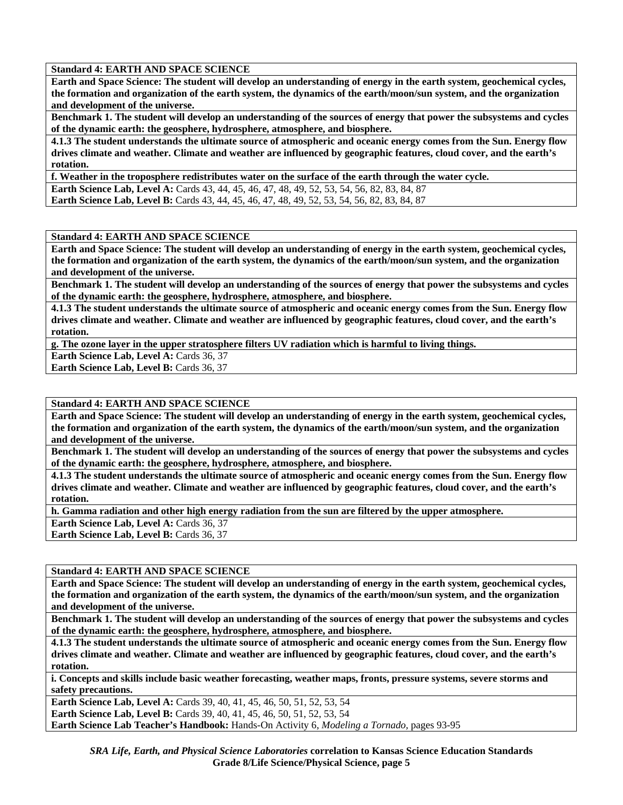**Earth and Space Science: The student will develop an understanding of energy in the earth system, geochemical cycles, the formation and organization of the earth system, the dynamics of the earth/moon/sun system, and the organization and development of the universe.** 

**Benchmark 1. The student will develop an understanding of the sources of energy that power the subsystems and cycles of the dynamic earth: the geosphere, hydrosphere, atmosphere, and biosphere.** 

**4.1.3 The student understands the ultimate source of atmospheric and oceanic energy comes from the Sun. Energy flow drives climate and weather. Climate and weather are influenced by geographic features, cloud cover, and the earth's rotation.** 

**f. Weather in the troposphere redistributes water on the surface of the earth through the water cycle.** 

**Earth Science Lab, Level A:** Cards 43, 44, 45, 46, 47, 48, 49, 52, 53, 54, 56, 82, 83, 84, 87 **Earth Science Lab, Level B:** Cards 43, 44, 45, 46, 47, 48, 49, 52, 53, 54, 56, 82, 83, 84, 87

## **Standard 4: EARTH AND SPACE SCIENCE**

**Earth and Space Science: The student will develop an understanding of energy in the earth system, geochemical cycles, the formation and organization of the earth system, the dynamics of the earth/moon/sun system, and the organization and development of the universe.** 

**Benchmark 1. The student will develop an understanding of the sources of energy that power the subsystems and cycles of the dynamic earth: the geosphere, hydrosphere, atmosphere, and biosphere.** 

**4.1.3 The student understands the ultimate source of atmospheric and oceanic energy comes from the Sun. Energy flow drives climate and weather. Climate and weather are influenced by geographic features, cloud cover, and the earth's rotation.** 

**g. The ozone layer in the upper stratosphere filters UV radiation which is harmful to living things.** 

**Earth Science Lab, Level A: Cards 36, 37** 

**Earth Science Lab, Level B: Cards 36, 37** 

### **Standard 4: EARTH AND SPACE SCIENCE**

**Earth and Space Science: The student will develop an understanding of energy in the earth system, geochemical cycles, the formation and organization of the earth system, the dynamics of the earth/moon/sun system, and the organization and development of the universe.** 

**Benchmark 1. The student will develop an understanding of the sources of energy that power the subsystems and cycles of the dynamic earth: the geosphere, hydrosphere, atmosphere, and biosphere.** 

**4.1.3 The student understands the ultimate source of atmospheric and oceanic energy comes from the Sun. Energy flow drives climate and weather. Climate and weather are influenced by geographic features, cloud cover, and the earth's rotation.** 

**h. Gamma radiation and other high energy radiation from the sun are filtered by the upper atmosphere.** 

**Earth Science Lab, Level A: Cards 36, 37** 

Earth Science Lab, Level B: Cards 36, 37

**Standard 4: EARTH AND SPACE SCIENCE** 

**Earth and Space Science: The student will develop an understanding of energy in the earth system, geochemical cycles, the formation and organization of the earth system, the dynamics of the earth/moon/sun system, and the organization and development of the universe.** 

**Benchmark 1. The student will develop an understanding of the sources of energy that power the subsystems and cycles of the dynamic earth: the geosphere, hydrosphere, atmosphere, and biosphere.** 

**4.1.3 The student understands the ultimate source of atmospheric and oceanic energy comes from the Sun. Energy flow drives climate and weather. Climate and weather are influenced by geographic features, cloud cover, and the earth's rotation.** 

**i. Concepts and skills include basic weather forecasting, weather maps, fronts, pressure systems, severe storms and safety precautions.** 

**Earth Science Lab, Level A: Cards 39, 40, 41, 45, 46, 50, 51, 52, 53, 54 Earth Science Lab, Level B:** Cards 39, 40, 41, 45, 46, 50, 51, 52, 53, 54 **Earth Science Lab Teacher's Handbook:** Hands-On Activity 6, *Modeling a Tornado,* pages 93-95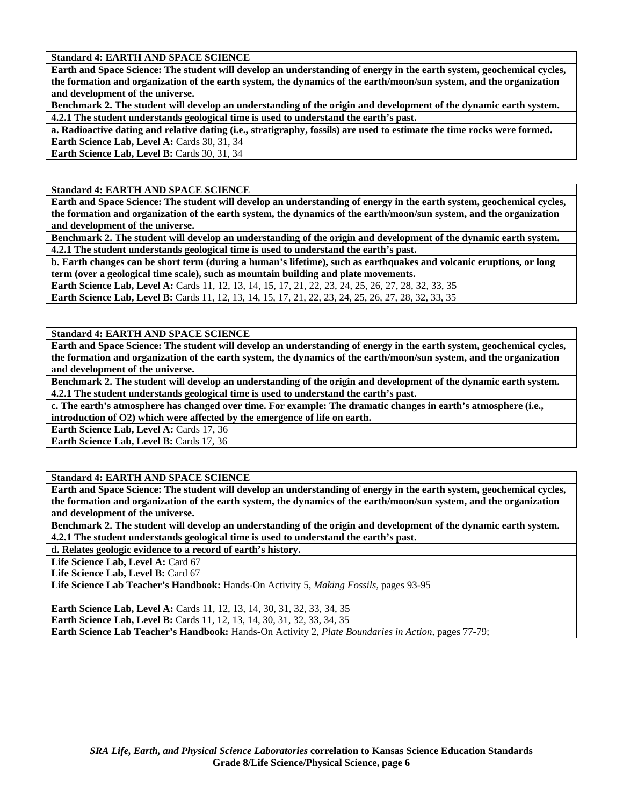**Earth and Space Science: The student will develop an understanding of energy in the earth system, geochemical cycles, the formation and organization of the earth system, the dynamics of the earth/moon/sun system, and the organization and development of the universe.** 

**Benchmark 2. The student will develop an understanding of the origin and development of the dynamic earth system. 4.2.1 The student understands geological time is used to understand the earth's past.** 

**a. Radioactive dating and relative dating (i.e., stratigraphy, fossils) are used to estimate the time rocks were formed. Earth Science Lab, Level A: Cards 30, 31, 34** 

**Earth Science Lab, Level B: Cards 30, 31, 34** 

## **Standard 4: EARTH AND SPACE SCIENCE**

**Earth and Space Science: The student will develop an understanding of energy in the earth system, geochemical cycles, the formation and organization of the earth system, the dynamics of the earth/moon/sun system, and the organization and development of the universe.** 

**Benchmark 2. The student will develop an understanding of the origin and development of the dynamic earth system. 4.2.1 The student understands geological time is used to understand the earth's past.** 

**b. Earth changes can be short term (during a human's lifetime), such as earthquakes and volcanic eruptions, or long term (over a geological time scale), such as mountain building and plate movements.** 

Earth Science Lab, Level A: Cards 11, 12, 13, 14, 15, 17, 21, 22, 23, 24, 25, 26, 27, 28, 32, 33, 35 **Earth Science Lab, Level B:** Cards 11, 12, 13, 14, 15, 17, 21, 22, 23, 24, 25, 26, 27, 28, 32, 33, 35

#### **Standard 4: EARTH AND SPACE SCIENCE**

**Earth and Space Science: The student will develop an understanding of energy in the earth system, geochemical cycles, the formation and organization of the earth system, the dynamics of the earth/moon/sun system, and the organization and development of the universe.** 

**Benchmark 2. The student will develop an understanding of the origin and development of the dynamic earth system. 4.2.1 The student understands geological time is used to understand the earth's past.** 

**c. The earth's atmosphere has changed over time. For example: The dramatic changes in earth's atmosphere (i.e., introduction of O2) which were affected by the emergence of life on earth.** 

**Earth Science Lab, Level A: Cards 17, 36** 

**Earth Science Lab, Level B: Cards 17, 36** 

# **Standard 4: EARTH AND SPACE SCIENCE**

**Earth and Space Science: The student will develop an understanding of energy in the earth system, geochemical cycles, the formation and organization of the earth system, the dynamics of the earth/moon/sun system, and the organization and development of the universe.** 

**Benchmark 2. The student will develop an understanding of the origin and development of the dynamic earth system. 4.2.1 The student understands geological time is used to understand the earth's past.** 

**d. Relates geologic evidence to a record of earth's history.** 

Life Science Lab, Level A: Card 67

Life Science Lab, Level B: Card 67

**Life Science Lab Teacher's Handbook:** Hands-On Activity 5, *Making Fossils,* pages 93-95

Earth Science Lab, Level A: Cards 11, 12, 13, 14, 30, 31, 32, 33, 34, 35 **Earth Science Lab, Level B:** Cards 11, 12, 13, 14, 30, 31, 32, 33, 34, 35 **Earth Science Lab Teacher's Handbook:** Hands-On Activity 2, *Plate Boundaries in Action,* pages 77-79;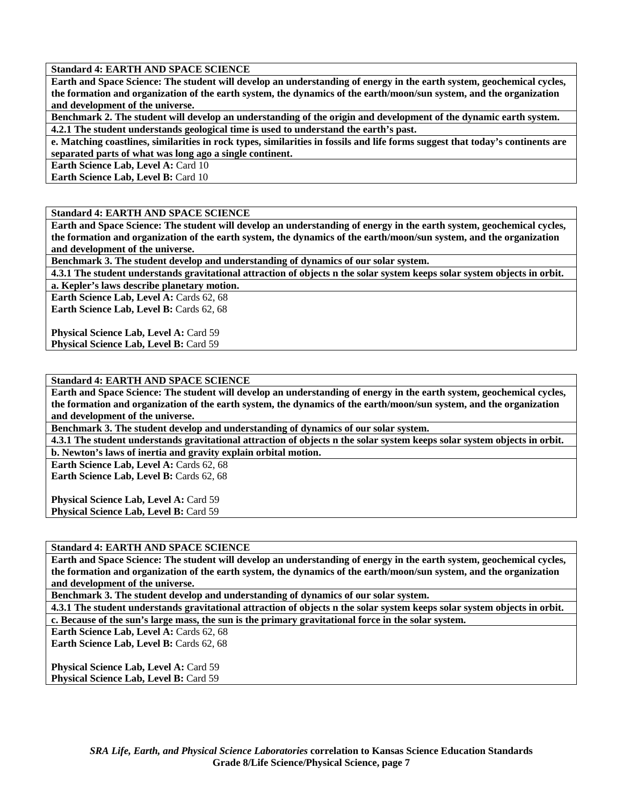**Earth and Space Science: The student will develop an understanding of energy in the earth system, geochemical cycles, the formation and organization of the earth system, the dynamics of the earth/moon/sun system, and the organization and development of the universe.** 

**Benchmark 2. The student will develop an understanding of the origin and development of the dynamic earth system. 4.2.1 The student understands geological time is used to understand the earth's past.** 

**e. Matching coastlines, similarities in rock types, similarities in fossils and life forms suggest that today's continents are separated parts of what was long ago a single continent.** 

**Earth Science Lab, Level A: Card 10** 

**Earth Science Lab, Level B: Card 10** 

# **Standard 4: EARTH AND SPACE SCIENCE**

**Earth and Space Science: The student will develop an understanding of energy in the earth system, geochemical cycles, the formation and organization of the earth system, the dynamics of the earth/moon/sun system, and the organization and development of the universe.** 

**Benchmark 3. The student develop and understanding of dynamics of our solar system.** 

**4.3.1 The student understands gravitational attraction of objects n the solar system keeps solar system objects in orbit.** 

**a. Kepler's laws describe planetary motion.** 

Earth Science Lab, Level A: Cards 62, 68 **Earth Science Lab, Level B: Cards 62, 68** 

**Physical Science Lab, Level A: Card 59 Physical Science Lab, Level B: Card 59** 

**Standard 4: EARTH AND SPACE SCIENCE** 

**Earth and Space Science: The student will develop an understanding of energy in the earth system, geochemical cycles, the formation and organization of the earth system, the dynamics of the earth/moon/sun system, and the organization and development of the universe.** 

**Benchmark 3. The student develop and understanding of dynamics of our solar system.** 

**4.3.1 The student understands gravitational attraction of objects n the solar system keeps solar system objects in orbit.** 

**b. Newton's laws of inertia and gravity explain orbital motion.** 

**Earth Science Lab, Level A: Cards 62, 68 Earth Science Lab, Level B: Cards 62, 68** 

**Physical Science Lab, Level A: Card 59 Physical Science Lab, Level B: Card 59** 

# **Standard 4: EARTH AND SPACE SCIENCE**

**Earth and Space Science: The student will develop an understanding of energy in the earth system, geochemical cycles, the formation and organization of the earth system, the dynamics of the earth/moon/sun system, and the organization and development of the universe.** 

**Benchmark 3. The student develop and understanding of dynamics of our solar system.** 

**4.3.1 The student understands gravitational attraction of objects n the solar system keeps solar system objects in orbit. c. Because of the sun's large mass, the sun is the primary gravitational force in the solar system.** 

Earth Science Lab, Level A: Cards 62, 68

Earth Science Lab, Level B: Cards 62, 68

**Physical Science Lab, Level A: Card 59 Physical Science Lab, Level B: Card 59**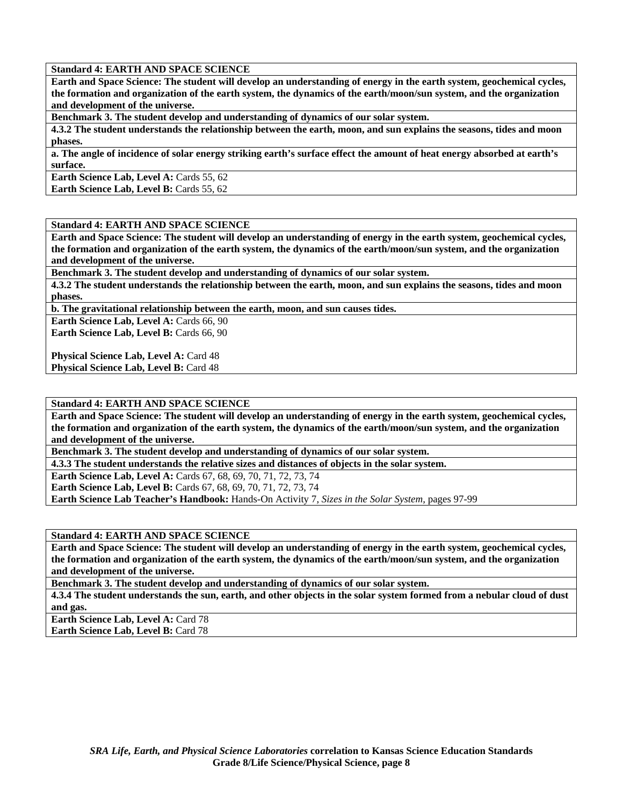**Earth and Space Science: The student will develop an understanding of energy in the earth system, geochemical cycles, the formation and organization of the earth system, the dynamics of the earth/moon/sun system, and the organization and development of the universe.** 

**Benchmark 3. The student develop and understanding of dynamics of our solar system.** 

**4.3.2 The student understands the relationship between the earth, moon, and sun explains the seasons, tides and moon phases.** 

**a. The angle of incidence of solar energy striking earth's surface effect the amount of heat energy absorbed at earth's surface.** 

**Earth Science Lab, Level A: Cards 55, 62 Earth Science Lab, Level B: Cards 55, 62** 

## **Standard 4: EARTH AND SPACE SCIENCE**

**Earth and Space Science: The student will develop an understanding of energy in the earth system, geochemical cycles, the formation and organization of the earth system, the dynamics of the earth/moon/sun system, and the organization and development of the universe.** 

**Benchmark 3. The student develop and understanding of dynamics of our solar system.** 

**4.3.2 The student understands the relationship between the earth, moon, and sun explains the seasons, tides and moon phases.** 

**b. The gravitational relationship between the earth, moon, and sun causes tides.** 

**Earth Science Lab, Level A: Cards 66, 90 Earth Science Lab, Level B: Cards 66, 90** 

**Physical Science Lab, Level A: Card 48 Physical Science Lab, Level B: Card 48** 

**Standard 4: EARTH AND SPACE SCIENCE** 

**Earth and Space Science: The student will develop an understanding of energy in the earth system, geochemical cycles, the formation and organization of the earth system, the dynamics of the earth/moon/sun system, and the organization and development of the universe.** 

**Benchmark 3. The student develop and understanding of dynamics of our solar system.** 

**4.3.3 The student understands the relative sizes and distances of objects in the solar system.** 

**Earth Science Lab, Level A:** Cards 67, 68, 69, 70, 71, 72, 73, 74 **Earth Science Lab, Level B:** Cards 67, 68, 69, 70, 71, 72, 73, 74 **Earth Science Lab Teacher's Handbook:** Hands-On Activity 7, *Sizes in the Solar System,* pages 97-99

**Standard 4: EARTH AND SPACE SCIENCE** 

**Earth and Space Science: The student will develop an understanding of energy in the earth system, geochemical cycles, the formation and organization of the earth system, the dynamics of the earth/moon/sun system, and the organization and development of the universe.** 

**Benchmark 3. The student develop and understanding of dynamics of our solar system.** 

**4.3.4 The student understands the sun, earth, and other objects in the solar system formed from a nebular cloud of dust and gas.** 

**Earth Science Lab, Level A: Card 78 Earth Science Lab, Level B: Card 78**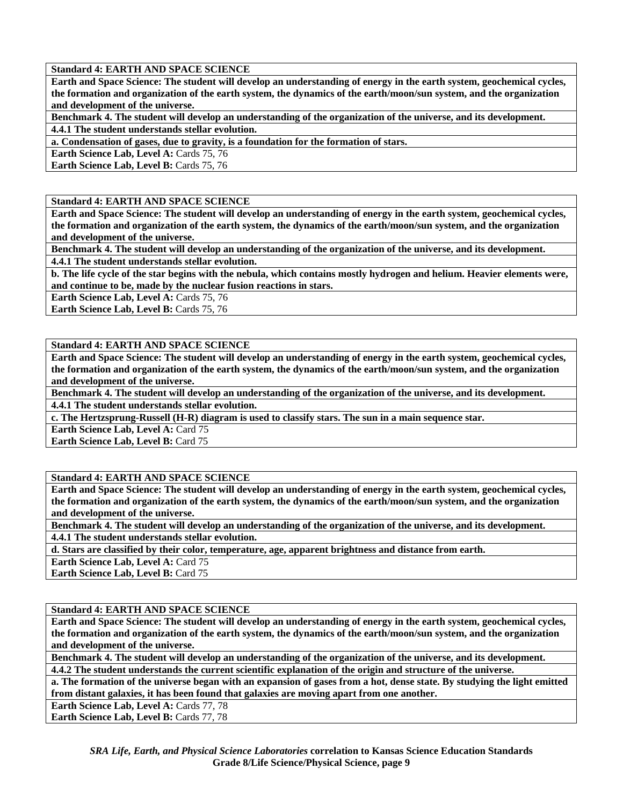**Earth and Space Science: The student will develop an understanding of energy in the earth system, geochemical cycles, the formation and organization of the earth system, the dynamics of the earth/moon/sun system, and the organization and development of the universe.** 

**Benchmark 4. The student will develop an understanding of the organization of the universe, and its development.** 

**4.4.1 The student understands stellar evolution.** 

**a. Condensation of gases, due to gravity, is a foundation for the formation of stars.** 

**Earth Science Lab, Level A: Cards 75, 76** 

**Earth Science Lab, Level B: Cards 75, 76** 

## **Standard 4: EARTH AND SPACE SCIENCE**

**Earth and Space Science: The student will develop an understanding of energy in the earth system, geochemical cycles, the formation and organization of the earth system, the dynamics of the earth/moon/sun system, and the organization and development of the universe.** 

**Benchmark 4. The student will develop an understanding of the organization of the universe, and its development. 4.4.1 The student understands stellar evolution.** 

**b. The life cycle of the star begins with the nebula, which contains mostly hydrogen and helium. Heavier elements were, and continue to be, made by the nuclear fusion reactions in stars.** 

Earth Science Lab, Level A: Cards 75, 76

**Earth Science Lab, Level B: Cards 75, 76** 

## **Standard 4: EARTH AND SPACE SCIENCE**

**Earth and Space Science: The student will develop an understanding of energy in the earth system, geochemical cycles, the formation and organization of the earth system, the dynamics of the earth/moon/sun system, and the organization and development of the universe.** 

**Benchmark 4. The student will develop an understanding of the organization of the universe, and its development. 4.4.1 The student understands stellar evolution.** 

**c. The Hertzsprung-Russell (H-R) diagram is used to classify stars. The sun in a main sequence star.** 

**Earth Science Lab, Level A: Card 75** 

**Earth Science Lab, Level B: Card 75** 

# **Standard 4: EARTH AND SPACE SCIENCE**

**Earth and Space Science: The student will develop an understanding of energy in the earth system, geochemical cycles, the formation and organization of the earth system, the dynamics of the earth/moon/sun system, and the organization and development of the universe.** 

**Benchmark 4. The student will develop an understanding of the organization of the universe, and its development. 4.4.1 The student understands stellar evolution.** 

**d. Stars are classified by their color, temperature, age, apparent brightness and distance from earth.** 

**Earth Science Lab, Level A: Card 75** 

**Earth Science Lab, Level B: Card 75** 

# **Standard 4: EARTH AND SPACE SCIENCE**

**Earth and Space Science: The student will develop an understanding of energy in the earth system, geochemical cycles, the formation and organization of the earth system, the dynamics of the earth/moon/sun system, and the organization and development of the universe.** 

**Benchmark 4. The student will develop an understanding of the organization of the universe, and its development.** 

**4.4.2 The student understands the current scientific explanation of the origin and structure of the universe.** 

**a. The formation of the universe began with an expansion of gases from a hot, dense state. By studying the light emitted from distant galaxies, it has been found that galaxies are moving apart from one another.** 

Earth Science Lab, Level A: Cards 77, 78 Earth Science Lab, Level B: Cards 77, 78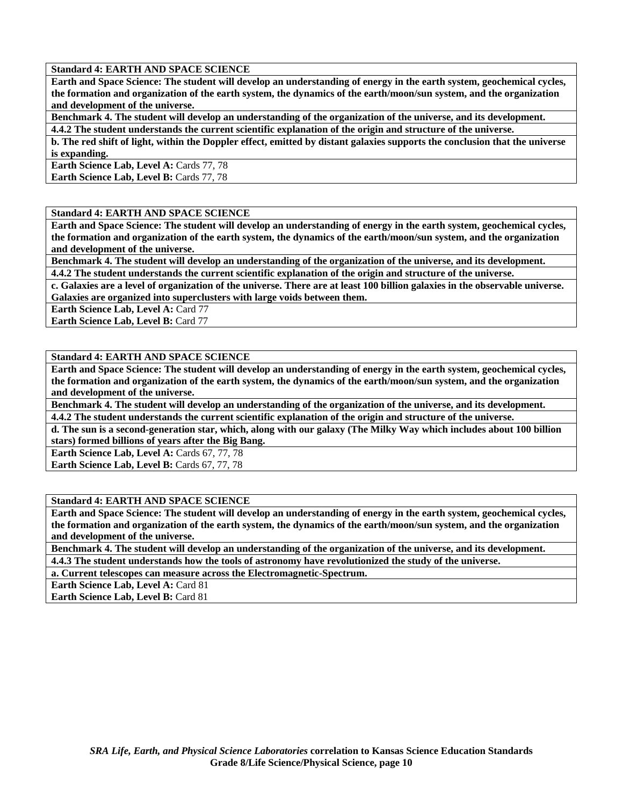**Earth and Space Science: The student will develop an understanding of energy in the earth system, geochemical cycles, the formation and organization of the earth system, the dynamics of the earth/moon/sun system, and the organization and development of the universe.** 

**Benchmark 4. The student will develop an understanding of the organization of the universe, and its development.** 

**4.4.2 The student understands the current scientific explanation of the origin and structure of the universe. b. The red shift of light, within the Doppler effect, emitted by distant galaxies supports the conclusion that the universe** 

**is expanding.** 

**Earth Science Lab, Level A: Cards 77, 78** 

**Earth Science Lab, Level B: Cards 77, 78** 

# **Standard 4: EARTH AND SPACE SCIENCE**

**Earth and Space Science: The student will develop an understanding of energy in the earth system, geochemical cycles, the formation and organization of the earth system, the dynamics of the earth/moon/sun system, and the organization and development of the universe.** 

**Benchmark 4. The student will develop an understanding of the organization of the universe, and its development. 4.4.2 The student understands the current scientific explanation of the origin and structure of the universe.** 

**c. Galaxies are a level of organization of the universe. There are at least 100 billion galaxies in the observable universe. Galaxies are organized into superclusters with large voids between them.** 

**Earth Science Lab, Level A: Card 77** 

**Earth Science Lab, Level B: Card 77** 

# **Standard 4: EARTH AND SPACE SCIENCE**

**Earth and Space Science: The student will develop an understanding of energy in the earth system, geochemical cycles, the formation and organization of the earth system, the dynamics of the earth/moon/sun system, and the organization and development of the universe.** 

**Benchmark 4. The student will develop an understanding of the organization of the universe, and its development. 4.4.2 The student understands the current scientific explanation of the origin and structure of the universe.** 

**d. The sun is a second-generation star, which, along with our galaxy (The Milky Way which includes about 100 billion** 

**stars) formed billions of years after the Big Bang.** 

Earth Science Lab, Level A: Cards 67, 77, 78 Earth Science Lab, Level B: Cards 67, 77, 78

# **Standard 4: EARTH AND SPACE SCIENCE**

**Earth and Space Science: The student will develop an understanding of energy in the earth system, geochemical cycles, the formation and organization of the earth system, the dynamics of the earth/moon/sun system, and the organization and development of the universe.** 

**Benchmark 4. The student will develop an understanding of the organization of the universe, and its development.** 

**4.4.3 The student understands how the tools of astronomy have revolutionized the study of the universe.** 

**a. Current telescopes can measure across the Electromagnetic-Spectrum.** 

**Earth Science Lab, Level A: Card 81** 

**Earth Science Lab, Level B: Card 81**